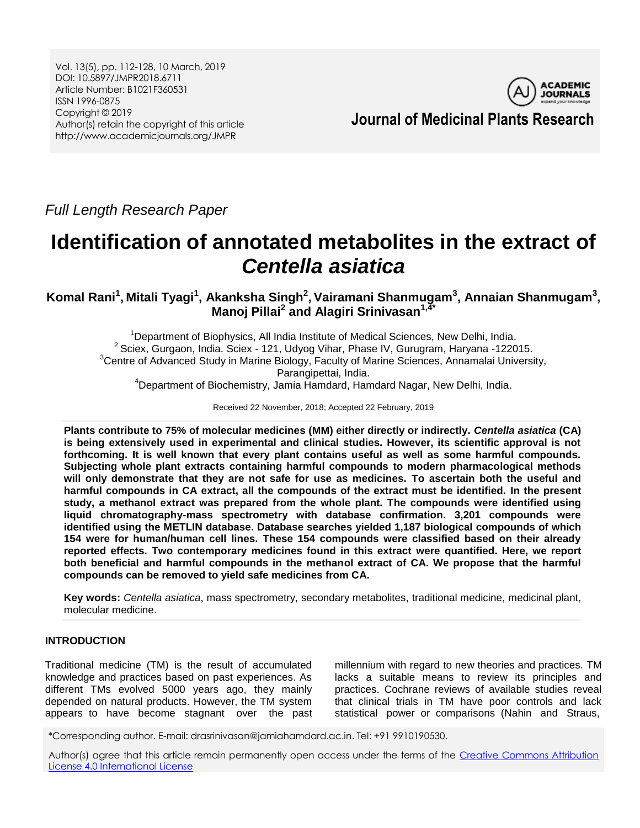Vol. 13(5), pp. 112-128, 10 March, 2019 DOI: 10.5897/JMPR2018.6711 Article Number: B1021F360531 ISSN 1996-0875 Copyright © 2019 Author(s) retain the copyright of this article http://www.academicjournals.org/JMPR



*Full Length Research Paper*

# **Identification of annotated metabolites in the extract of**  *Centella asiatica*

**Komal Rani<sup>1</sup> , Mitali Tyagi<sup>1</sup> , Akanksha Singh<sup>2</sup> , Vairamani Shanmugam<sup>3</sup> , Annaian Shanmugam<sup>3</sup> , Manoj Pillai<sup>2</sup> and Alagiri Srinivasan1,4\***

 $1$ Department of Biophysics, All India Institute of Medical Sciences, New Delhi, India. <sup>2</sup> Sciex, Gurgaon, India. Sciex - 121, Udyog Vihar, Phase IV, Gurugram, Haryana -122015. <sup>3</sup>Centre of Advanced Study in Marine Biology, Faculty of Marine Sciences, Annamalai University, Parangipettai, India.

<sup>4</sup>Department of Biochemistry, Jamia Hamdard, Hamdard Nagar, New Delhi, India.

Received 22 November, 2018; Accepted 22 February, 2019

**Plants contribute to 75% of molecular medicines (MM) either directly or indirectly.** *Centella asiatica* **(CA) is being extensively used in experimental and clinical studies. However, its scientific approval is not forthcoming. It is well known that every plant contains useful as well as some harmful compounds. Subjecting whole plant extracts containing harmful compounds to modern pharmacological methods will only demonstrate that they are not safe for use as medicines. To ascertain both the useful and harmful compounds in CA extract, all the compounds of the extract must be identified. In the present study, a methanol extract was prepared from the whole plant***.* **The compounds were identified using liquid chromatography-mass spectrometry with database confirmation. 3,201 compounds were identified using the METLIN database. Database searches yielded 1,187 biological compounds of which 154 were for human/human cell lines. These 154 compounds were classified based on their already reported effects. Two contemporary medicines found in this extract were quantified. Here, we report both beneficial and harmful compounds in the methanol extract of CA. We propose that the harmful compounds can be removed to yield safe medicines from CA.**

**Key words:** *Centella asiatica*, mass spectrometry, secondary metabolites, traditional medicine, medicinal plant, molecular medicine.

# **INTRODUCTION**

Traditional medicine (TM) is the result of accumulated knowledge and practices based on past experiences. As different TMs evolved 5000 years ago, they mainly depended on natural products. However, the TM system appears to have become stagnant over the past

millennium with regard to new theories and practices. TM lacks a suitable means to review its principles and practices. Cochrane reviews of available studies reveal that clinical trials in TM have poor controls and lack statistical power or comparisons (Nahin and Straus,

\*Corresponding author. E-mail: drasrinivasan@jamiahamdard.ac.in. Tel: +91 9910190530.

Author(s) agree that this article remain permanently open access under the terms of the [Creative Commons Attribution](http://creativecommons.org/licenses/by/4.0/deed.en_US)  [License 4.0 International License](http://creativecommons.org/licenses/by/4.0/deed.en_US)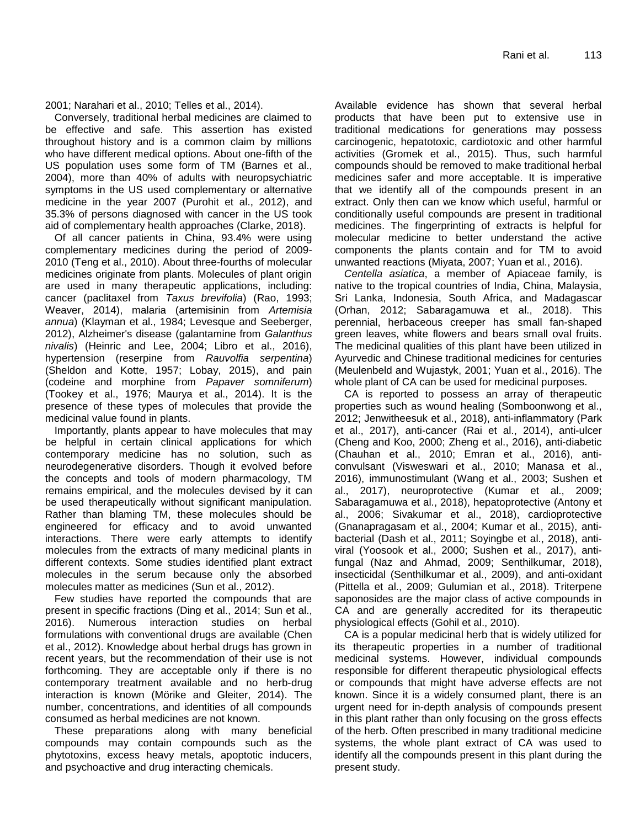2001; Narahari et al., 2010; Telles et al., 2014).

Conversely, traditional herbal medicines are claimed to be effective and safe. This assertion has existed throughout history and is a common claim by millions who have different medical options. About one-fifth of the US population uses some form of TM (Barnes et al., 2004), more than 40% of adults with neuropsychiatric symptoms in the US used complementary or alternative medicine in the year 2007 (Purohit et al., 2012), and 35.3% of persons diagnosed with cancer in the US took aid of complementary health approaches (Clarke, 2018).

Of all cancer patients in China, 93.4% were using complementary medicines during the period of 2009- 2010 (Teng et al., 2010). About three-fourths of molecular medicines originate from plants. Molecules of plant origin are used in many therapeutic applications, including: cancer (paclitaxel from *Taxus brevifolia*) (Rao, 1993; Weaver, 2014), malaria (artemisinin from *Artemisia annua*) (Klayman et al., 1984; Levesque and Seeberger, 2012), Alzheimer's disease (galantamine from *Galanthus nivalis*) (Heinric and Lee, 2004; Libro et al., 2016), hypertension (reserpine from *Rauvolfia serpentina*) (Sheldon and Kotte, 1957; Lobay, 2015), and pain (codeine and morphine from *Papaver somniferum*) (Tookey et al., 1976; Maurya et al., 2014). It is the presence of these types of molecules that provide the medicinal value found in plants.

Importantly, plants appear to have molecules that may be helpful in certain clinical applications for which contemporary medicine has no solution, such as neurodegenerative disorders. Though it evolved before the concepts and tools of modern pharmacology, TM remains empirical, and the molecules devised by it can be used therapeutically without significant manipulation. Rather than blaming TM, these molecules should be engineered for efficacy and to avoid unwanted interactions. There were early attempts to identify molecules from the extracts of many medicinal plants in different contexts. Some studies identified plant extract molecules in the serum because only the absorbed molecules matter as medicines (Sun et al., 2012).

Few studies have reported the compounds that are present in specific fractions (Ding et al., 2014; Sun et al., 2016). Numerous interaction studies on herbal formulations with conventional drugs are available (Chen et al., 2012). Knowledge about herbal drugs has grown in recent years, but the recommendation of their use is not forthcoming. They are acceptable only if there is no contemporary treatment available and no herb-drug interaction is known (Mörike and Gleiter, 2014). The number, concentrations, and identities of all compounds consumed as herbal medicines are not known.

These preparations along with many beneficial compounds may contain compounds such as the phytotoxins, excess heavy metals, apoptotic inducers, and psychoactive and drug interacting chemicals.

Available evidence has shown that several herbal products that have been put to extensive use in traditional medications for generations may possess carcinogenic, hepatotoxic, cardiotoxic and other harmful activities (Gromek et al., 2015). Thus, such harmful compounds should be removed to make traditional herbal medicines safer and more acceptable. It is imperative that we identify all of the compounds present in an extract. Only then can we know which useful, harmful or conditionally useful compounds are present in traditional medicines. The fingerprinting of extracts is helpful for molecular medicine to better understand the active components the plants contain and for TM to avoid unwanted reactions (Miyata, 2007; Yuan et al., 2016).

*Centella asiatica*, a member of Apiaceae family, is native to the tropical countries of India, China, Malaysia, Sri Lanka, Indonesia, South Africa, and Madagascar (Orhan, 2012; Sabaragamuwa et al., 2018). This perennial, herbaceous creeper has small fan-shaped green leaves, white flowers and bears small oval fruits. The medicinal qualities of this plant have been utilized in Ayurvedic and Chinese traditional medicines for centuries (Meulenbeld and Wujastyk, 2001; Yuan et al., 2016). The whole plant of CA can be used for medicinal purposes.

CA is reported to possess an array of therapeutic properties such as wound healing (Somboonwong et al., 2012; Jenwitheesuk et al., 2018), anti-inflammatory (Park et al., 2017), anti-cancer (Rai et al., 2014), anti-ulcer (Cheng and Koo, 2000; Zheng et al., 2016), anti-diabetic (Chauhan et al., 2010; Emran et al., 2016), anticonvulsant (Visweswari et al., 2010; Manasa et al., 2016), immunostimulant (Wang et al., 2003; Sushen et al., 2017), neuroprotective (Kumar et al., 2009; Sabaragamuwa et al., 2018), hepatoprotective (Antony et al., 2006; Sivakumar et al., 2018), cardioprotective (Gnanapragasam et al., 2004; Kumar et al., 2015), antibacterial (Dash et al., 2011; Soyingbe et al., 2018), antiviral (Yoosook et al., 2000; Sushen et al., 2017), antifungal (Naz and Ahmad, 2009; Senthilkumar, 2018), insecticidal (Senthilkumar et al., 2009), and anti-oxidant (Pittella et al., 2009; Gulumian et al., 2018). Triterpene saponosides are the major class of active compounds in CA and are generally accredited for its therapeutic physiological effects (Gohil et al., 2010).

CA is a popular medicinal herb that is widely utilized for its therapeutic properties in a number of traditional medicinal systems. However, individual compounds responsible for different therapeutic physiological effects or compounds that might have adverse effects are not known. Since it is a widely consumed plant, there is an urgent need for in-depth analysis of compounds present in this plant rather than only focusing on the gross effects of the herb. Often prescribed in many traditional medicine systems, the whole plant extract of CA was used to identify all the compounds present in this plant during the present study.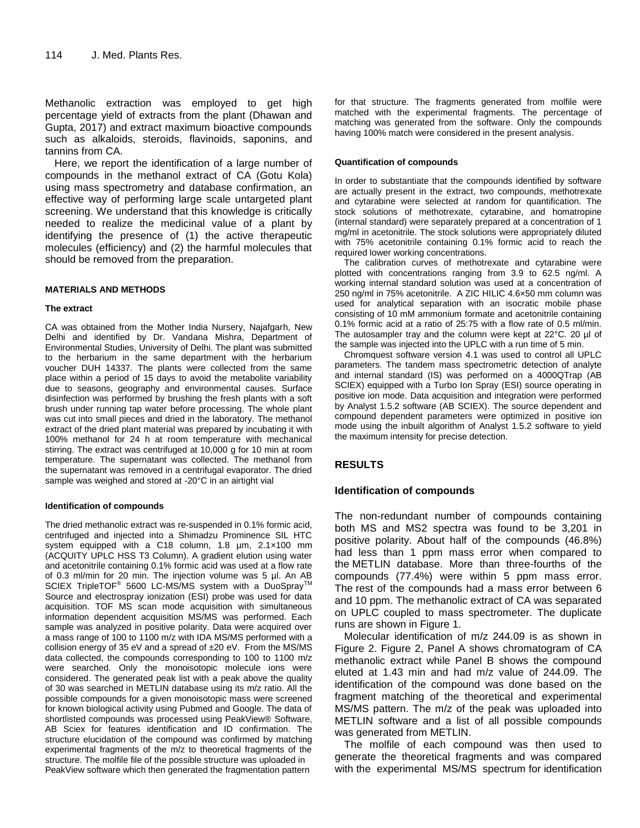Methanolic extraction was employed to get high percentage yield of extracts from the plant (Dhawan and Gupta, 2017) and extract maximum bioactive compounds such as alkaloids, steroids, flavinoids, saponins, and tannins from CA.

Here, we report the identification of a large number of compounds in the methanol extract of CA (Gotu Kola) using mass spectrometry and database confirmation, an effective way of performing large scale untargeted plant screening. We understand that this knowledge is critically needed to realize the medicinal value of a plant by identifying the presence of (1) the active therapeutic molecules (efficiency) and (2) the harmful molecules that should be removed from the preparation.

## **MATERIALS AND METHODS**

#### **The extract**

CA was obtained from the Mother India Nursery, Najafgarh, New Delhi and identified by Dr. Vandana Mishra, Department of Environmental Studies, University of Delhi. The plant was submitted to the herbarium in the same department with the herbarium voucher DUH 14337. The plants were collected from the same place within a period of 15 days to avoid the metabolite variability due to seasons, geography and environmental causes. Surface disinfection was performed by brushing the fresh plants with a soft brush under running tap water before processing. The whole plant was cut into small pieces and dried in the laboratory. The methanol extract of the dried plant material was prepared by incubating it with 100% methanol for 24 h at room temperature with mechanical stirring. The extract was centrifuged at 10,000 g for 10 min at room temperature. The supernatant was collected. The methanol from the supernatant was removed in a centrifugal evaporator. The dried sample was weighed and stored at -20°C in an airtight vial

#### **Identification of compounds**

The dried methanolic extract was re-suspended in 0.1% formic acid, centrifuged and injected into a Shimadzu Prominence SIL HTC system equipped with a C18 column, 1.8 µm, 2.1×100 mm (ACQUITY UPLC HSS T3 Column). A gradient elution using water and acetonitrile containing 0.1% formic acid was used at a flow rate of 0.3 ml/min for 20 min. The injection volume was 5 µl. An AB SCIEX TripleTOF<sup>®</sup> 5600 LC-MS/MS system with a DuoSpray<sup>™</sup> Source and electrospray ionization (ESI) probe was used for data acquisition. TOF MS scan mode acquisition with simultaneous information dependent acquisition MS/MS was performed. Each sample was analyzed in positive polarity. Data were acquired over a mass range of 100 to 1100 m/z with IDA MS/MS performed with a collision energy of 35 eV and a spread of  $\pm 20$  eV. From the MS/MS data collected, the compounds corresponding to 100 to 1100 m/z were searched. Only the monoisotopic molecule ions were considered. The generated peak list with a peak above the quality of 30 was searched in METLIN database using its m/z ratio. All the possible compounds for a given monoisotopic mass were screened for known biological activity using Pubmed and Google. The data of shortlisted compounds was processed using PeakView® Software, AB Sciex for features identification and ID confirmation. The structure elucidation of the compound was confirmed by matching experimental fragments of the m/z to theoretical fragments of the structure. The molfile file of the possible structure was uploaded in PeakView software which then generated the fragmentation pattern

for that structure. The fragments generated from molfile were matched with the experimental fragments. The percentage of matching was generated from the software. Only the compounds having 100% match were considered in the present analysis.

#### **Quantification of compounds**

In order to substantiate that the compounds identified by software are actually present in the extract, two compounds, methotrexate and cytarabine were selected at random for quantification. The stock solutions of methotrexate, cytarabine, and homatropine (internal standard) were separately prepared at a concentration of 1 mg/ml in acetonitrile. The stock solutions were appropriately diluted with 75% acetonitrile containing 0.1% formic acid to reach the required lower working concentrations.

The calibration curves of methotrexate and cytarabine were plotted with concentrations ranging from 3.9 to 62.5 ng/ml. A working internal standard solution was used at a concentration of 250 ng/ml in 75% acetonitrile. A ZIC HILIC 4.6×50 mm column was used for analytical separation with an isocratic mobile phase consisting of 10 mM ammonium formate and acetonitrile containing 0.1% formic acid at a ratio of 25:75 with a flow rate of 0.5 ml/min. The autosampler tray and the column were kept at 22°C. 20 µl of the sample was injected into the UPLC with a run time of 5 min.

Chromquest software version 4.1 was used to control all UPLC parameters. The tandem mass spectrometric detection of analyte and internal standard (IS) was performed on a 4000QTrap (AB SCIEX) equipped with a Turbo Ion Spray (ESI) source operating in positive ion mode. Data acquisition and integration were performed by Analyst 1.5.2 software (AB SCIEX). The source dependent and compound dependent parameters were optimized in positive ion mode using the inbuilt algorithm of Analyst 1.5.2 software to yield the maximum intensity for precise detection.

## **RESULTS**

## **Identification of compounds**

The non-redundant number of compounds containing both MS and MS2 spectra was found to be 3,201 in positive polarity. About half of the compounds (46.8%) had less than 1 ppm mass error when compared to the METLIN database. More than three-fourths of the compounds (77.4%) were within 5 ppm mass error. The rest of the compounds had a mass error between 6 and 10 ppm. The methanolic extract of CA was separated on UPLC coupled to mass spectrometer. The duplicate runs are shown in Figure 1.

Molecular identification of m/z 244.09 is as shown in Figure 2. Figure 2, Panel A shows chromatogram of CA methanolic extract while Panel B shows the compound eluted at 1.43 min and had m/z value of 244.09. The identification of the compound was done based on the fragment matching of the theoretical and experimental MS/MS pattern. The m/z of the peak was uploaded into METLIN software and a list of all possible compounds was generated from METLIN.

The molfile of each compound was then used to generate the theoretical fragments and was compared with the experimental MS/MS spectrum for identification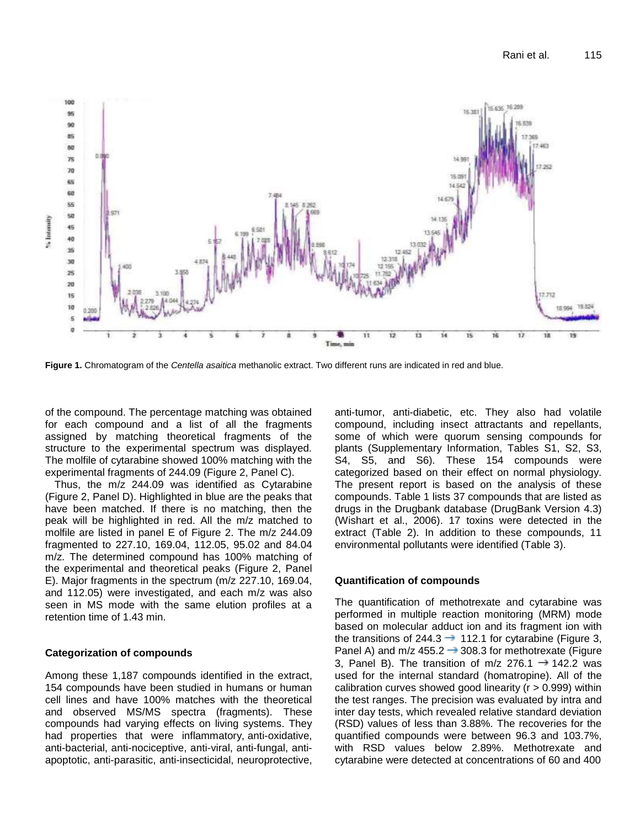

**Figure 1.** Chromatogram of the *Centella asaitica* methanolic extract. Two different runs are indicated in red and blue.

of the compound. The percentage matching was obtained for each compound and a list of all the fragments assigned by matching theoretical fragments of the structure to the experimental spectrum was displayed. The molfile of cytarabine showed 100% matching with the experimental fragments of 244.09 (Figure 2, Panel C).

Thus, the m/z 244.09 was identified as Cytarabine (Figure 2, Panel D). Highlighted in blue are the peaks that have been matched. If there is no matching, then the peak will be highlighted in red. All the m/z matched to molfile are listed in panel E of Figure 2. The m/z 244.09 fragmented to 227.10, 169.04, 112.05, 95.02 and 84.04 m/z. The determined compound has 100% matching of the experimental and theoretical peaks (Figure 2, Panel E). Major fragments in the spectrum (m/z 227.10, 169.04, and 112.05) were investigated, and each m/z was also seen in MS mode with the same elution profiles at a retention time of 1.43 min.

## **Categorization of compounds**

Among these 1,187 compounds identified in the extract, 154 compounds have been studied in humans or human cell lines and have 100% matches with the theoretical and observed MS/MS spectra (fragments). These compounds had varying effects on living systems. They had properties that were inflammatory, anti-oxidative, anti-bacterial, anti-nociceptive, anti-viral, anti-fungal, antiapoptotic, anti-parasitic, anti-insecticidal, neuroprotective, anti-tumor, anti-diabetic, etc. They also had volatile compound, including insect attractants and repellants, some of which were quorum sensing compounds for plants (Supplementary Information, Tables S1, S2, S3, S4, S5, and S6). These 154 compounds were categorized based on their effect on normal physiology. The present report is based on the analysis of these compounds. Table 1 lists 37 compounds that are listed as drugs in the Drugbank database (DrugBank Version 4.3) (Wishart et al., 2006). 17 toxins were detected in the extract (Table 2). In addition to these compounds, 11 environmental pollutants were identified (Table 3).

## **Quantification of compounds**

The quantification of methotrexate and cytarabine was performed in multiple reaction monitoring (MRM) mode based on molecular adduct ion and its fragment ion with the transitions of 244.3  $\rightarrow$  112.1 for cytarabine (Figure 3, Panel A) and m/z 455.2  $\rightarrow$  308.3 for methotrexate (Figure 3, Panel B). The transition of m/z 276.1  $\rightarrow$  142.2 was used for the internal standard (homatropine). All of the calibration curves showed good linearity ( $r > 0.999$ ) within the test ranges. The precision was evaluated by intra and inter day tests, which revealed relative standard deviation (RSD) values of less than 3.88%. The recoveries for the quantified compounds were between 96.3 and 103.7%, with RSD values below 2.89%. Methotrexate and cytarabine were detected at concentrations of 60 and 400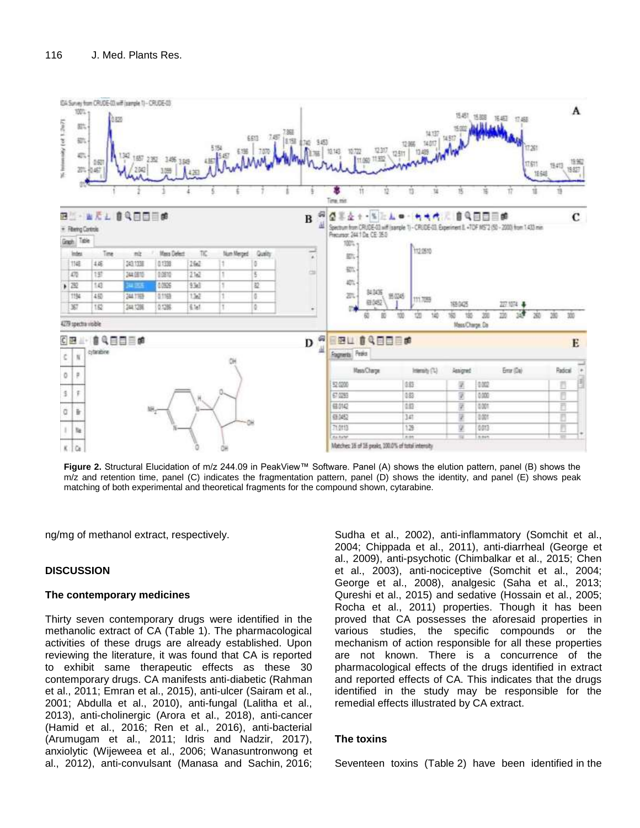

**Figure 2.** Structural Elucidation of m/z 244.09 in PeakView™ Software. Panel (A) shows the elution pattern, panel (B) shows the m/z and retention time, panel (C) indicates the fragmentation pattern, panel (D) shows the identity, and panel (E) shows peak matching of both experimental and theoretical fragments for the compound shown, cytarabine.

ng/mg of methanol extract, respectively.

## **DISCUSSION**

## **The contemporary medicines**

Thirty seven contemporary drugs were identified in the methanolic extract of CA (Table 1). The pharmacological activities of these drugs are already established. Upon reviewing the literature, it was found that CA is reported to exhibit same therapeutic effects as these 30 contemporary drugs. CA manifests anti-diabetic (Rahman et al., 2011; Emran et al., 2015), anti-ulcer (Sairam et al., 2001; Abdulla et al., 2010), anti-fungal (Lalitha et al., 2013), anti-cholinergic (Arora et al., 2018), anti-cancer (Hamid et al., 2016; Ren et al., 2016), anti-bacterial (Arumugam et al., 2011; Idris and Nadzir, 2017), anxiolytic (Wijeweea et al., 2006; Wanasuntronwong et al., 2012), anti-convulsant (Manasa and Sachin, 2016; Sudha et al., 2002), anti-inflammatory (Somchit et al., 2004; Chippada et al., 2011), anti-diarrheal (George et al., 2009), anti-psychotic (Chimbalkar et al., 2015; Chen et al., 2003), anti-nociceptive (Somchit et al., 2004; George et al., 2008), analgesic (Saha et al., 2013; Qureshi et al., 2015) and sedative (Hossain et al., 2005; Rocha et al., 2011) properties. Though it has been proved that CA possesses the aforesaid properties in various studies, the specific compounds or the mechanism of action responsible for all these properties are not known. There is a concurrence of the pharmacological effects of the drugs identified in extract and reported effects of CA. This indicates that the drugs identified in the study may be responsible for the remedial effects illustrated by CA extract.

## **The toxins**

Seventeen toxins (Table 2) have been identified in the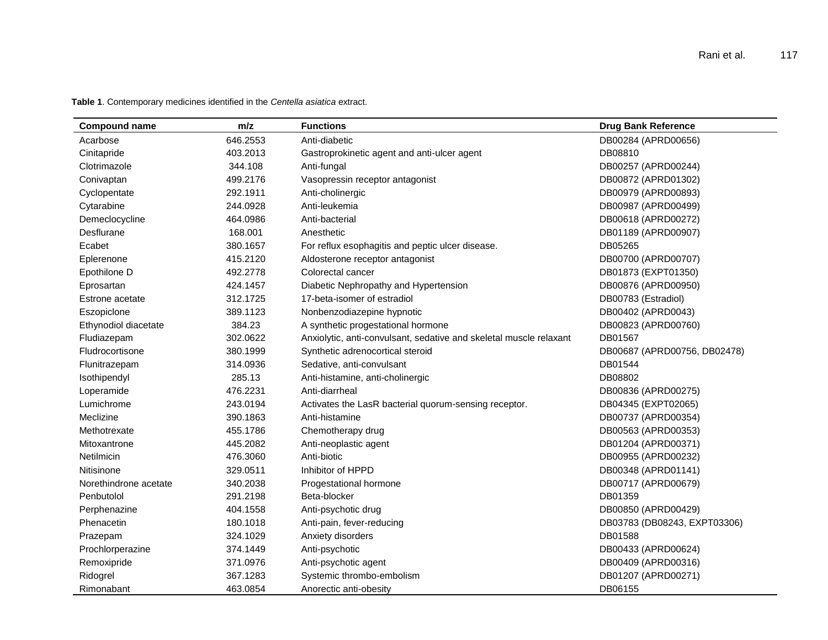**Table 1**. Contemporary medicines identified in the *Centella asiatica* extract.

| <b>Compound name</b>  | m/z      | <b>Functions</b>                                                   | <b>Drug Bank Reference</b>   |
|-----------------------|----------|--------------------------------------------------------------------|------------------------------|
| Acarbose              | 646.2553 | Anti-diabetic                                                      | DB00284 (APRD00656)          |
| Cinitapride           | 403.2013 | Gastroprokinetic agent and anti-ulcer agent                        | DB08810                      |
| Clotrimazole          | 344.108  | Anti-fungal                                                        | DB00257 (APRD00244)          |
| Conivaptan            | 499.2176 | Vasopressin receptor antagonist                                    | DB00872 (APRD01302)          |
| Cyclopentate          | 292.1911 | Anti-cholinergic                                                   | DB00979 (APRD00893)          |
| Cytarabine            | 244.0928 | Anti-leukemia                                                      | DB00987 (APRD00499)          |
| Demeclocycline        | 464.0986 | Anti-bacterial                                                     | DB00618 (APRD00272)          |
| Desflurane            | 168.001  | Anesthetic                                                         | DB01189 (APRD00907)          |
| Ecabet                | 380.1657 | For reflux esophagitis and peptic ulcer disease.                   | DB05265                      |
| Eplerenone            | 415.2120 | Aldosterone receptor antagonist                                    | DB00700 (APRD00707)          |
| Epothilone D          | 492.2778 | Colorectal cancer                                                  | DB01873 (EXPT01350)          |
| Eprosartan            | 424.1457 | Diabetic Nephropathy and Hypertension                              | DB00876 (APRD00950)          |
| Estrone acetate       | 312.1725 | 17-beta-isomer of estradiol                                        | DB00783 (Estradiol)          |
| Eszopiclone           | 389.1123 | Nonbenzodiazepine hypnotic                                         | DB00402 (APRD0043)           |
| Ethynodiol diacetate  | 384.23   | A synthetic progestational hormone                                 | DB00823 (APRD00760)          |
| Fludiazepam           | 302.0622 | Anxiolytic, anti-convulsant, sedative and skeletal muscle relaxant | DB01567                      |
| Fludrocortisone       | 380.1999 | Synthetic adrenocortical steroid                                   | DB00687 (APRD00756, DB02478) |
| Flunitrazepam         | 314.0936 | Sedative, anti-convulsant                                          | DB01544                      |
| Isothipendyl          | 285.13   | Anti-histamine, anti-cholinergic                                   | DB08802                      |
| Loperamide            | 476.2231 | Anti-diarrheal                                                     | DB00836 (APRD00275)          |
| Lumichrome            | 243.0194 | Activates the LasR bacterial quorum-sensing receptor.              | DB04345 (EXPT02065)          |
| Meclizine             | 390.1863 | Anti-histamine                                                     | DB00737 (APRD00354)          |
| Methotrexate          | 455.1786 | Chemotherapy drug                                                  | DB00563 (APRD00353)          |
| Mitoxantrone          | 445.2082 | Anti-neoplastic agent                                              | DB01204 (APRD00371)          |
| Netilmicin            | 476.3060 | Anti-biotic                                                        | DB00955 (APRD00232)          |
| Nitisinone            | 329.0511 | Inhibitor of HPPD                                                  | DB00348 (APRD01141)          |
| Norethindrone acetate | 340.2038 | Progestational hormone                                             | DB00717 (APRD00679)          |
| Penbutolol            | 291.2198 | Beta-blocker                                                       | DB01359                      |
| Perphenazine          | 404.1558 | Anti-psychotic drug                                                | DB00850 (APRD00429)          |
| Phenacetin            | 180.1018 | Anti-pain, fever-reducing                                          | DB03783 (DB08243, EXPT03306) |
| Prazepam              | 324.1029 | Anxiety disorders                                                  | DB01588                      |
| Prochlorperazine      | 374.1449 | Anti-psychotic                                                     | DB00433 (APRD00624)          |
| Remoxipride           | 371.0976 | Anti-psychotic agent                                               | DB00409 (APRD00316)          |
| Ridogrel              | 367.1283 | Systemic thrombo-embolism                                          | DB01207 (APRD00271)          |
| Rimonabant            | 463.0854 | Anorectic anti-obesity                                             | DB06155                      |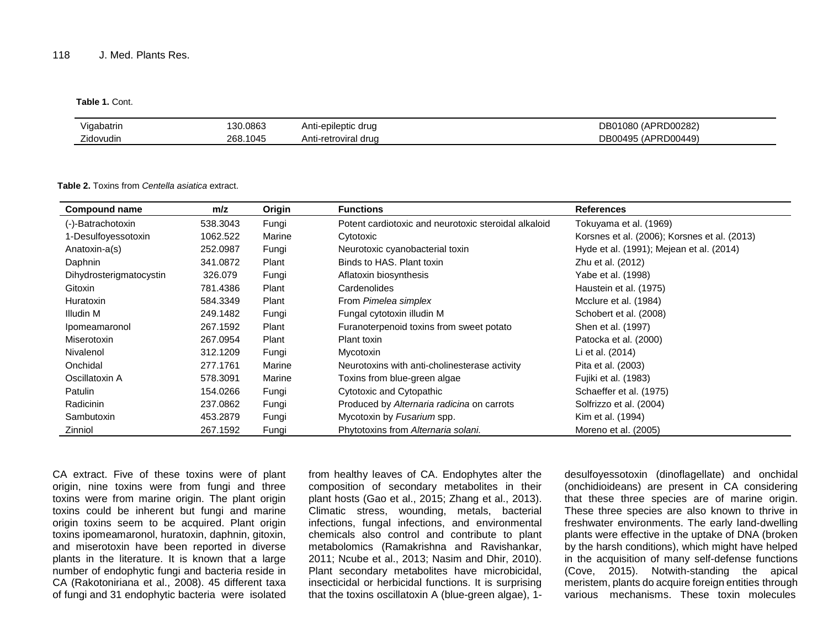#### **Table 1.** Cont.

| .<br>Vigabatrir | .0863                | Anti-e<br>drua<br>$\sim$<br>leptic.<br>5v | 00282⊂          |
|-----------------|----------------------|-------------------------------------------|-----------------|
| --<br>∠idovudin | 1045<br>ດຂດ<br>້∸ບບ⊹ | Anti-retro<br>druc<br>vııd                | ጋ00449)<br>- 70 |

#### **Table 2.** Toxins from *Centella asiatica* extract.

| <b>Compound name</b>    | m/z      | Origin | <b>Functions</b>                                     | <b>References</b>                            |
|-------------------------|----------|--------|------------------------------------------------------|----------------------------------------------|
| (-)-Batrachotoxin       | 538.3043 | Fungi  | Potent cardiotoxic and neurotoxic steroidal alkaloid | Tokuyama et al. (1969)                       |
| 1-Desulfoyessotoxin     | 1062.522 | Marine | Cytotoxic                                            | Korsnes et al. (2006); Korsnes et al. (2013) |
| Anatoxin-a(s)           | 252.0987 | Fungi  | Neurotoxic cyanobacterial toxin                      | Hyde et al. (1991); Mejean et al. (2014)     |
| Daphnin                 | 341.0872 | Plant  | Binds to HAS. Plant toxin                            | Zhu et al. (2012)                            |
| Dihydrosterigmatocystin | 326.079  | Fungi  | Aflatoxin biosynthesis                               | Yabe et al. (1998)                           |
| Gitoxin                 | 781.4386 | Plant  | Cardenolides                                         | Haustein et al. (1975)                       |
| Huratoxin               | 584.3349 | Plant  | From Pimelea simplex                                 | Mcclure et al. (1984)                        |
| Illudin M               | 249.1482 | Fungi  | Fungal cytotoxin illudin M                           | Schobert et al. (2008)                       |
| Ipomeamaronol           | 267.1592 | Plant  | Furanoterpenoid toxins from sweet potato             | Shen et al. (1997)                           |
| Miserotoxin             | 267.0954 | Plant  | Plant toxin                                          | Patocka et al. (2000)                        |
| Nivalenol               | 312,1209 | Fungi  | Mycotoxin                                            | Li et al. (2014)                             |
| Onchidal                | 277.1761 | Marine | Neurotoxins with anti-cholinesterase activity        | Pita et al. (2003)                           |
| Oscillatoxin A          | 578.3091 | Marine | Toxins from blue-green algae                         | Fujiki et al. (1983)                         |
| Patulin                 | 154.0266 | Fungi  | Cytotoxic and Cytopathic                             | Schaeffer et al. (1975)                      |
| <b>Radicinin</b>        | 237.0862 | Fungi  | Produced by Alternaria radicina on carrots           | Solfrizzo et al. (2004)                      |
| Sambutoxin              | 453.2879 | Fungi  | Mycotoxin by Fusarium spp.                           | Kim et al. (1994)                            |
| Zinniol                 | 267.1592 | Fungi  | Phytotoxins from Alternaria solani.                  | Moreno et al. (2005)                         |

CA extract. Five of these toxins were of plant origin, nine toxins were from fungi and three toxins were from marine origin. The plant origin toxins could be inherent but fungi and marine origin toxins seem to be acquired. Plant origin toxins ipomeamaronol, huratoxin, daphnin, gitoxin, and miserotoxin have been reported in diverse plants in the literature. It is known that a large number of endophytic fungi and bacteria reside in CA (Rakotoniriana et al., 2008). 45 different taxa of fungi and 31 endophytic bacteria were isolated

from healthy leaves of CA. Endophytes alter the composition of secondary metabolites in their plant hosts (Gao et al., 2015; Zhang et al., 2013). Climatic stress, wounding, metals, bacterial infections, fungal infections, and environmental chemicals also control and contribute to plant metabolomics (Ramakrishna and Ravishankar, 2011; Ncube et al., 2013; Nasim and Dhir, 2010). Plant secondary metabolites have microbicidal, insecticidal or herbicidal functions. It is surprising that the toxins oscillatoxin A (blue-green algae), 1-

desulfoyessotoxin (dinoflagellate) and onchidal (onchidioideans) are present in CA considering that these three species are of marine origin. These three species are also known to thrive in freshwater environments. The early land-dwelling plants were effective in the uptake of DNA (broken by the harsh conditions), which might have helped in the acquisition of many self-defense functions (Cove, 2015). Notwith-standing the apical meristem, plants do acquire foreign entities through various mechanisms. These toxin molecules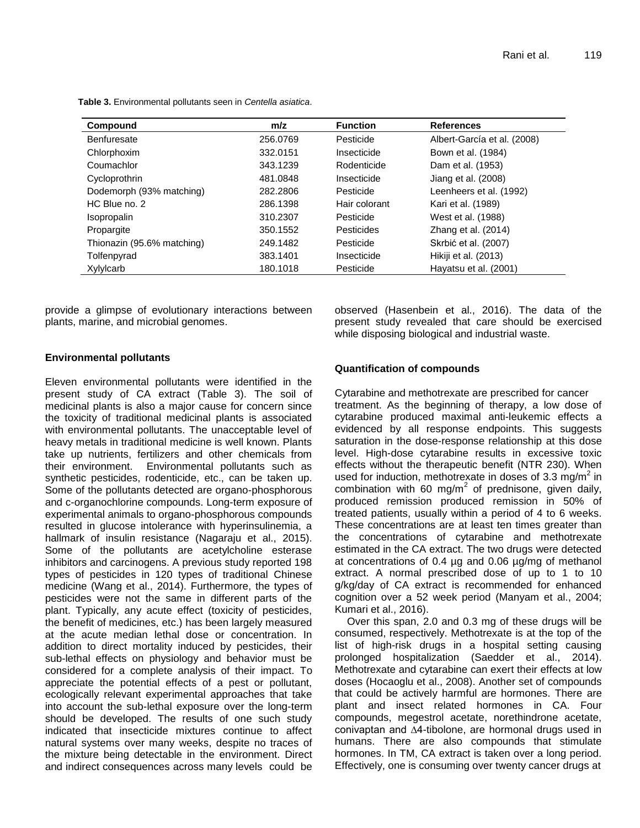| Compound                   | m/z      | <b>Function</b> | <b>References</b>           |
|----------------------------|----------|-----------------|-----------------------------|
| Benfuresate                | 256.0769 | Pesticide       | Albert-García et al. (2008) |
| Chlorphoxim                | 332.0151 | Insecticide     | Bown et al. (1984)          |
| Coumachlor                 | 343.1239 | Rodenticide     | Dam et al. (1953)           |
| Cycloprothrin              | 481.0848 | Insecticide     | Jiang et al. (2008)         |
| Dodemorph (93% matching)   | 282.2806 | Pesticide       | Leenheers et al. (1992)     |
| HC Blue no. 2              | 286.1398 | Hair colorant   | Kari et al. (1989)          |
| <b>Isopropalin</b>         | 310.2307 | Pesticide       | West et al. (1988)          |
| Propargite                 | 350.1552 | Pesticides      | Zhang et al. (2014)         |
| Thionazin (95.6% matching) | 249.1482 | Pesticide       | Skrbić et al. (2007)        |
| Tolfenpyrad                | 383.1401 | Insecticide     | Hikiji et al. (2013)        |
| Xylylcarb                  | 180.1018 | Pesticide       | Hayatsu et al. (2001)       |

**Table 3.** Environmental pollutants seen in *Centella asiatica*.

provide a glimpse of evolutionary interactions between plants, marine, and microbial genomes.

observed (Hasenbein et al., 2016). The data of the present study revealed that care should be exercised while disposing biological and industrial waste.

## **Environmental pollutants**

Eleven environmental pollutants were identified in the present study of CA extract (Table 3). The soil of medicinal plants is also a major cause for concern since the toxicity of traditional medicinal plants is associated with environmental pollutants. The unacceptable level of heavy metals in traditional medicine is well known. Plants take up nutrients, fertilizers and other chemicals from their environment. Environmental pollutants such as synthetic pesticides, rodenticide, etc., can be taken up. Some of the pollutants detected are organo-phosphorous and c-organochlorine compounds. Long-term exposure of experimental animals to organo-phosphorous compounds resulted in glucose intolerance with hyperinsulinemia, a hallmark of insulin resistance (Nagaraju et al., 2015). Some of the pollutants are acetylcholine esterase inhibitors and carcinogens. A previous study reported 198 types of pesticides in 120 types of traditional Chinese medicine (Wang et al., 2014). Furthermore, the types of pesticides were not the same in different parts of the plant. Typically, any acute effect (toxicity of pesticides, the benefit of medicines, etc.) has been largely measured at the acute median lethal dose or concentration. In addition to direct mortality induced by pesticides, their sub-lethal effects on physiology and behavior must be considered for a complete analysis of their impact. To appreciate the potential effects of a pest or pollutant, ecologically relevant experimental approaches that take into account the sub-lethal exposure over the long-term should be developed. The results of one such study indicated that insecticide mixtures continue to affect natural systems over many weeks, despite no traces of the mixture being detectable in the environment. Direct and indirect consequences across many levels could be

## **Quantification of compounds**

Cytarabine and methotrexate are prescribed for cancer treatment. As the beginning of therapy, a low dose of cytarabine produced maximal anti-leukemic effects a evidenced by all response endpoints. This suggests saturation in the dose-response relationship at this dose level. High-dose cytarabine results in excessive toxic effects without the therapeutic benefit (NTR 230). When used for induction, methotrexate in doses of 3.3 mg/m<sup>2</sup> in combination with 60 mg/m<sup>2</sup> of prednisone, given daily, produced remission produced remission in 50% of treated patients, usually within a period of 4 to 6 weeks. These concentrations are at least ten times greater than the concentrations of cytarabine and methotrexate estimated in the CA extract. The two drugs were detected at concentrations of 0.4 µg and 0.06 µg/mg of methanol extract. A normal prescribed dose of up to 1 to 10 g/kg/day of CA extract is recommended for enhanced cognition over a 52 week period (Manyam et al., 2004; Kumari et al., 2016).

Over this span, 2.0 and 0.3 mg of these drugs will be consumed, respectively. Methotrexate is at the top of the list of high-risk drugs in a hospital setting causing prolonged hospitalization (Saedder et al., 2014). Methotrexate and cytarabine can exert their effects at low doses (Hocaoglu et al., 2008). Another set of compounds that could be actively harmful are hormones. There are plant and insect related hormones in CA. Four compounds, megestrol acetate, norethindrone acetate, conivaptan and ∆4-tibolone, are hormonal drugs used in humans. There are also compounds that stimulate hormones. In TM, CA extract is taken over a long period. Effectively, one is consuming over twenty cancer drugs at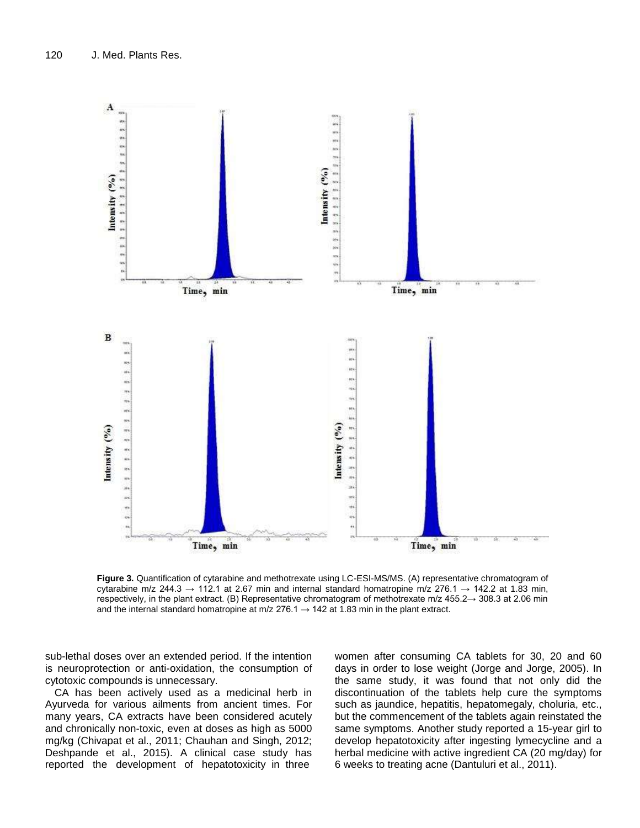

**Figure 3.** Quantification of cytarabine and methotrexate using LC-ESI-MS/MS. (A) representative chromatogram of cytarabine m/z 244.3  $\rightarrow$  112.1 at 2.67 min and internal standard homatropine m/z 276.1  $\rightarrow$  142.2 at 1.83 min, respectively, in the plant extract. (B) Representative chromatogram of methotrexate m/z 455.2→ 308.3 at 2.06 min and the internal standard homatropine at m/z  $276.1 \rightarrow 142$  at 1.83 min in the plant extract.

sub-lethal doses over an extended period. If the intention is neuroprotection or anti-oxidation, the consumption of cytotoxic compounds is unnecessary.

CA has been actively used as a medicinal herb in Ayurveda for various ailments from ancient times. For many years, CA extracts have been considered acutely and chronically non-toxic, even at doses as high as 5000 mg/kg (Chivapat et al., 2011; Chauhan and Singh, 2012; Deshpande et al., 2015). A clinical case study has reported the development of hepatotoxicity in three

women after consuming CA tablets for 30, 20 and 60 days in order to lose weight (Jorge and Jorge, 2005). In the same study, it was found that not only did the discontinuation of the tablets help cure the symptoms such as jaundice, hepatitis, hepatomegaly, choluria, etc., but the commencement of the tablets again reinstated the same symptoms. Another study reported a 15-year girl to develop hepatotoxicity after ingesting lymecycline and a herbal medicine with active ingredient CA (20 mg/day) for 6 weeks to treating acne (Dantuluri et al., 2011).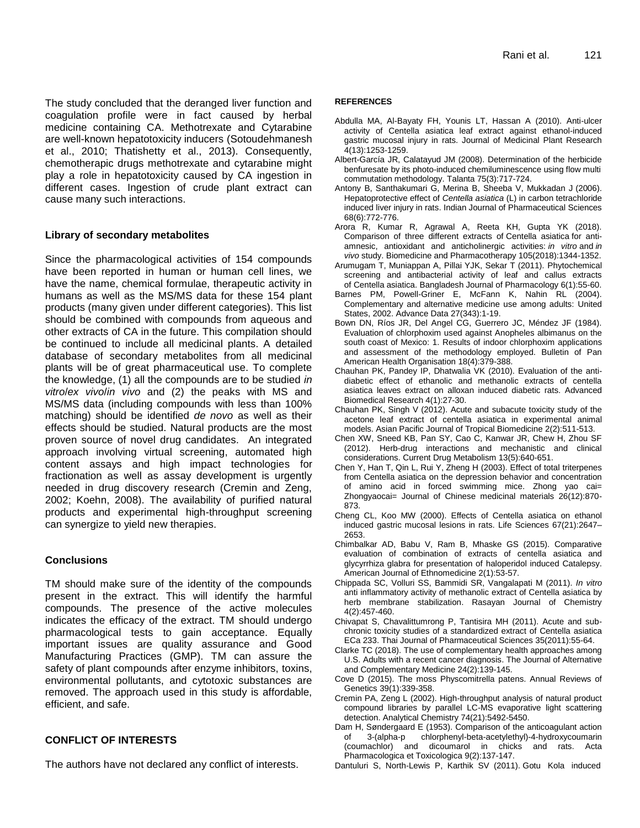The study concluded that the deranged liver function and coagulation profile were in fact caused by herbal medicine containing CA. Methotrexate and Cytarabine are well-known hepatotoxicity inducers (Sotoudehmanesh et al., 2010; Thatishetty et al., 2013). Consequently, chemotherapic drugs methotrexate and cytarabine might play a role in hepatotoxicity caused by CA ingestion in different cases. Ingestion of crude plant extract can cause many such interactions.

## **Library of secondary metabolites**

Since the pharmacological activities of 154 compounds have been reported in human or human cell lines, we have the name, chemical formulae, therapeutic activity in humans as well as the MS/MS data for these 154 plant products (many given under different categories). This list should be combined with compounds from aqueous and other extracts of CA in the future. This compilation should be continued to include all medicinal plants. A detailed database of secondary metabolites from all medicinal plants will be of great pharmaceutical use. To complete the knowledge, (1) all the compounds are to be studied *in vitro*/*ex vivo*/*in vivo* and (2) the peaks with MS and MS/MS data (including compounds with less than 100% matching) should be identified *de novo* as well as their effects should be studied. Natural products are the most proven source of novel drug candidates. An integrated approach involving virtual screening, automated high content assays and high impact technologies for fractionation as well as assay development is urgently needed in drug discovery research (Cremin and Zeng, 2002; Koehn, 2008). The availability of purified natural products and experimental high-throughput screening can synergize to yield new therapies.

# **Conclusions**

TM should make sure of the identity of the compounds present in the extract. This will identify the harmful compounds. The presence of the active molecules indicates the efficacy of the extract. TM should undergo pharmacological tests to gain acceptance. Equally important issues are quality assurance and Good Manufacturing Practices (GMP). TM can assure the safety of plant compounds after enzyme inhibitors, toxins, environmental pollutants, and cytotoxic substances are removed. The approach used in this study is affordable, efficient, and safe.

# **CONFLICT OF INTERESTS**

The authors have not declared any conflict of interests.

## **REFERENCES**

- Abdulla MA, Al-Bayaty FH, Younis LT, Hassan A (2010). Anti-ulcer activity of Centella asiatica leaf extract against ethanol-induced gastric mucosal injury in rats. Journal of Medicinal Plant Research 4(13):1253-1259.
- Albert-García JR, Calatayud JM (2008). Determination of the herbicide benfuresate by its photo-induced chemiluminescence using flow multi commutation methodology. Talanta 75(3):717-724.
- Antony B, Santhakumari G, Merina B, Sheeba V, Mukkadan J (2006). Hepatoprotective effect of *Centella asiatica* (L) in carbon tetrachloride induced liver injury in rats. Indian Journal of Pharmaceutical Sciences 68(6):772-776.
- Arora R, Kumar R, Agrawal A, Reeta KH, Gupta YK (2018). Comparison of three different extracts of Centella asiatica for antiamnesic, antioxidant and anticholinergic activities: *in vitro* and *in vivo* study. Biomedicine and Pharmacotherapy 105(2018):1344-1352.
- Arumugam T, Muniappan A, Pillai YJK, Sekar T (2011). Phytochemical screening and antibacterial activity of leaf and callus extracts of Centella asiatica. Bangladesh Journal of Pharmacology 6(1):55-60.
- Barnes PM, Powell-Griner E, McFann K, Nahin RL (2004). Complementary and alternative medicine use among adults: United States, 2002. Advance Data 27(343):1-19.
- Bown DN, Ríos JR, Del Angel CG, Guerrero JC, Méndez JF (1984). Evaluation of chlorphoxim used against Anopheles albimanus on the south coast of Mexico: 1. Results of indoor chlorphoxim applications and assessment of the methodology employed. Bulletin of Pan American Health Organisation 18(4):379-388.
- Chauhan PK, Pandey IP, Dhatwalia VK (2010). Evaluation of the antidiabetic effect of ethanolic and methanolic extracts of centella asiatica leaves extract on alloxan induced diabetic rats. Advanced Biomedical Research 4(1):27-30.
- Chauhan PK, Singh V (2012). Acute and subacute toxicity study of the acetone leaf extract of centella asiatica in experimental animal models. Asian Pacific Journal of Tropical Biomedicine 2(2):511-513.
- Chen XW, Sneed KB, Pan SY, Cao C, Kanwar JR, Chew H, Zhou SF (2012). Herb-drug interactions and mechanistic and clinical considerations. Current Drug Metabolism 13(5):640-651.
- [Chen Y,](https://www.ncbi.nlm.nih.gov/pubmed/?term=Chen%20Y%5BAuthor%5D&cauthor=true&cauthor_uid=15058206) [Han T,](https://www.ncbi.nlm.nih.gov/pubmed/?term=Han%20T%5BAuthor%5D&cauthor=true&cauthor_uid=15058206) [Qin L,](https://www.ncbi.nlm.nih.gov/pubmed/?term=Qin%20L%5BAuthor%5D&cauthor=true&cauthor_uid=15058206) [Rui Y,](https://www.ncbi.nlm.nih.gov/pubmed/?term=Rui%20Y%5BAuthor%5D&cauthor=true&cauthor_uid=15058206) [Zheng H](https://www.ncbi.nlm.nih.gov/pubmed/?term=Zheng%20H%5BAuthor%5D&cauthor=true&cauthor_uid=15058206) (2003). Effect of total triterpenes from Centella asiatica on the depression behavior and concentration of amino acid in forced swimming mice. Zhong yao cai= Zhongyaocai= Journal of Chinese medicinal materials 26(12):870- 873.
- Cheng CL, Koo MW (2000). Effects of Centella asiatica on ethanol induced gastric mucosal lesions in rats. Life Sciences 67(21):2647– 2653.
- Chimbalkar AD, Babu V, Ram B, Mhaske GS (2015). Comparative evaluation of combination of extracts of centella asiatica and glycyrrhiza glabra for presentation of haloperidol induced Catalepsy. American Journal of Ethnomedicine 2(1):53-57.
- Chippada SC, Volluri SS, Bammidi SR, Vangalapati M (2011). *In vitro*  anti inflammatory activity of methanolic extract of Centella asiatica by herb membrane stabilization. Rasayan Journal of Chemistry 4(2):457-460.
- Chivapat S, Chavalittumrong P, Tantisira MH (2011). Acute and subchronic toxicity studies of a standardized extract of Centella asiatica ECa 233. Thai Journal of Pharmaceutical Sciences 35(2011):55-64.
- Clarke TC (2018). The use of complementary health approaches among U.S. Adults with a recent cancer diagnosis. The Journal of Alternative and Complementary Medicine 24(2):139-145.
- Cove D (2015). The moss Physcomitrella patens. Annual Reviews of Genetics 39(1):339-358.
- Cremin PA, Zeng L (2002). High-throughput analysis of natural product compound libraries by parallel LC-MS evaporative light scattering detection. Analytical Chemistry 74(21):5492-5450.
- Dam H, Søndergaard E (1953). Comparison of the anticoagulant action of 3-(alpha-p chlorphenyl-beta-acetylethyl)-4-hydroxycoumarin (coumachlor) and dicoumarol in chicks and rats. Acta Pharmacologica et Toxicologica 9(2):137-147.
- Dantuluri S, North-Lewis P, Karthik SV (2011). Gotu Kola induced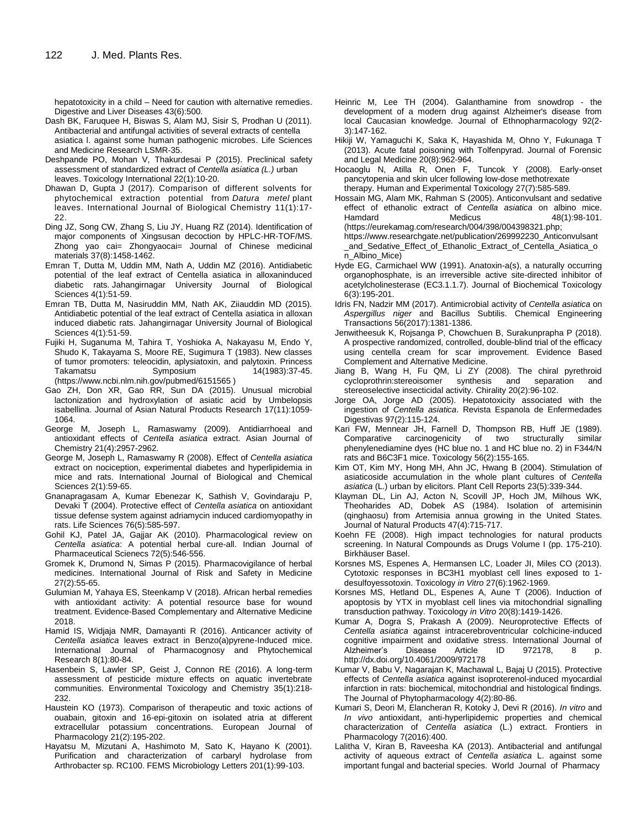hepatotoxicity in a child – Need for caution with alternative remedies. Digestive and Liver Diseases 43(6):500.

- Dash BK, Faruquee H, Biswas S, Alam MJ, Sisir S, Prodhan U (2011). Antibacterial and antifungal activities of several extracts of centella asiatica l. against some human pathogenic microbes. Life Sciences and Medicine Research LSMR-35.
- Deshpande PO, Mohan V, Thakurdesai P (2015). Preclinical safety assessment of standardized extract of *Centella asiatica (L.)* urban leaves. Toxicology International 22(1):10-20.
- Dhawan D, Gupta J (2017). Comparison of different solvents for phytochemical extraction potential from *Datura metel* plant leaves. International Journal of Biological Chemistry 11(1):17- 22.
- Ding JZ, Song CW, Zhang S, Liu JY, Huang RZ (2014). Identification of major components of Xingsusan decoction by HPLC-HR-TOF/MS. Zhong yao cai= Zhongyaocai= Journal of Chinese medicinal materials 37(8):1458-1462.
- Emran T, Dutta M, Uddin MM, Nath A, Uddin MZ (2016). Antidiabetic potential of the leaf extract of Centella asiatica in alloxaninduced diabetic rats. Jahangirnagar University Journal of Biological Sciences 4(1):51-59.
- Emran TB, Dutta M, Nasiruddin MM, Nath AK, Ziiauddin MD (2015). Antidiabetic potential of the leaf extract of Centella asiatica in alloxan induced diabetic rats. Jahangirnagar University Journal of Biological Sciences 4(1):51-59.
- Fujiki H, Suganuma M, Tahira T, Yoshioka A, Nakayasu M, Endo Y, Shudo K, Takayama S, Moore RE, Sugimura T (1983). New classes of tumor promoters: teleocidin, aplysiatoxin, and palytoxin. Princess Takamatsu Symposium 14(1983):37-45. (https://www.ncbi.nlm.nih.gov/pubmed/6151565 )
- Gao ZH, Don XR, Gao RR, Sun DA (2015). Unusual microbial lactonization and hydroxylation of asiatic acid by Umbelopsis isabellina. Journal of Asian Natural Products Research 17(11):1059- 1064.
- George M, Joseph L, Ramaswamy (2009). Antidiarrhoeal and antioxidant effects of *Centella asiatica* extract. Asian Journal of Chemistry 21(4):2957-2962.
- George M, Joseph L, Ramaswamy R (2008). Effect of *Centella asiatica* extract on nociception, experimental diabetes and hyperlipidemia in mice and rats. International Journal of Biological and Chemical Sciences 2(1):59-65.
- Gnanapragasam A, Kumar Ebenezar K, Sathish V, Govindaraju P, Devaki T (2004). Protective effect of *Centella asiatica* on antioxidant tissue defense system against adriamycin induced cardiomyopathy in rats. Life Sciences 76(5):585-597.
- Gohil KJ, Patel JA, Gajjar AK (2010). Pharmacological review on *Centella asiatica*: A potential herbal cure-all. Indian Journal of Pharmaceutical Scienecs 72(5):546-556.
- Gromek K, Drumond N, Simas P (2015). Pharmacovigilance of herbal medicines. International Journal of Risk and Safety in Medicine 27(2):55-65.
- Gulumian M, Yahaya ES, Steenkamp V (2018). African herbal remedies with antioxidant activity: A potential resource base for wound treatment. Evidence-Based Complementary and Alternative Medicine 2018.
- Hamid IS, Widjaja NMR, Damayanti R (2016). Anticancer activity of *Centella asiatica* leaves extract in Benzo(a)pyrene-Induced mice. International Journal of Pharmacognosy and Phytochemical Research 8(1):80-84.
- Hasenbein S, Lawler SP, Geist J, Connon RE (2016). A long-term assessment of pesticide mixture effects on aquatic invertebrate communities. Environmental Toxicology and Chemistry 35(1):218- 232.
- Haustein KO (1973). Comparison of therapeutic and toxic actions of ouabain, gitoxin and 16-epi-gitoxin on isolated atria at different extracellular potassium concentrations. European Journal of Pharmacology 21(2):195-202.
- Hayatsu M, Mizutani A, Hashimoto M, Sato K, Hayano K (2001). Purification and characterization of carbaryl hydrolase from Arthrobacter sp. RC100. FEMS Microbiology Letters 201(1):99-103.
- Heinric M, Lee TH (2004). Galanthamine from snowdrop the development of a modern drug against Alzheimer's disease from local Caucasian knowledge*.* Journal of Ethnopharmacology 92(2- 3):147-162.
- Hikiji W, Yamaguchi K, Saka K, Hayashida M, Ohno Y, Fukunaga T (2013). Acute fatal poisoning with Tolfenpyrad. Journal of Forensic and Legal Medicine 20(8):962-964.
- Hocaoglu N, Atilla R, Onen F, Tuncok Y (2008). Early-onset pancytopenia and skin ulcer following low-dose methotrexate therapy. Human and Experimental Toxicology 27(7):585-589.
- Hossain MG, Alam MK, Rahman S (2005). Anticonvulsant and sedative effect of ethanolic extract of *Centella asiatica* on albino mice. Hamdard Medicus 48(1):98-101. [\(https://eurekamag.com/research/004/398/004398321.php;](https://eurekamag.com/research/004/398/004398321.php) https://www.researchgate.net/publication/269992230\_Anticonvulsant
	- \_and\_Sedative\_Effect\_of\_Ethanolic\_Extract\_of\_Centella\_Asiatica\_o n\_Albino\_Mice)
- Hyde EG, Carmichael WW (1991). Anatoxin-a(s), a naturally occurring organophosphate, is an irreversible active site-directed inhibitor of acetylcholinesterase (EC3.1.1.7). Journal of Biochemical Toxicology 6(3):195-201.
- Idris FN, Nadzir MM (2017). Antimicrobial activity of *Centella asiatica* on *Aspergillus niger* and Bacillus Subtilis. Chemical Engineering Transactions 56(2017):1381-1386.
- Jenwitheesuk K, Rojsanga P, Chowchuen B, Surakunprapha P (2018). A prospective randomized, controlled, double-blind trial of the efficacy using centella cream for scar improvement. Evidence Based Complement and Alternative Medicine.
- Jiang B, Wang H, Fu QM, Li ZY (2008). The chiral pyrethroid cycloprothrin:stereoisomer synthesis and separation and stereoselective insecticidal activity. Chirality 20(2):96-102.
- Jorge OA, Jorge AD (2005). Hepatotoxicity associated with the ingestion of *Centella asiatica*. Revista Espanola de Enfermedades Digestivas 97(2):115-124.
- Kari FW, Mennear JH, Farnell D, Thompson RB, Huff JE (1989). Comparative carcinogenicity of two structurally similar phenylenediamine dyes (HC blue no. 1 and HC blue no. 2) in F344/N rats and B6C3F1 mice. Toxicology 56(2):155-165.
- Kim OT, Kim MY, Hong MH, Ahn JC, Hwang B (2004). Stimulation of asiaticoside accumulation in the whole plant cultures of *Centella asiatica* (L.) urban by elicitors. Plant Cell Reports 23(5):339-344.
- Klayman DL, Lin AJ, Acton N, Scovill JP, Hoch JM, Milhous WK, Theoharides AD, Dobek AS (1984). Isolation of artemisinin (qinghaosu) from Artemisia annua growing in the United States. Journal of Natural Products 47(4):715-717.
- Koehn FE (2008). High impact technologies for natural products screening. In Natural Compounds as Drugs Volume I (pp. 175-210). Birkhäuser Basel.
- Korsnes MS, Espenes A, Hermansen LC, Loader JI, Miles CO (2013). Cytotoxic responses in BC3H1 myoblast cell lines exposed to 1 desulfoyessotoxin. Toxicology *in Vitro* 27(6):1962-1969.
- Korsnes MS, Hetland DL, Espenes A, Aune T (2006). Induction of apoptosis by YTX in myoblast cell lines via mitochondrial signalling transduction pathway. Toxicology *in Vitro* 20(8):1419-1426.
- Kumar A, Dogra S, Prakash A (2009). Neuroprotective Effects of *Centella asiatica* against intracerebroventricular colchicine-induced cognitive impairment and oxidative stress. International Journal of Alzheimer's Disease Article ID 972178, 8 p. http://dx.doi.org/10.4061/2009/972178
- Kumar V, Babu V, Nagarajan K, Machawal L, Bajaj U (2015). Protective effects of *Centella asiatica* against isoproterenol-induced myocardial infarction in rats: biochemical, mitochondrial and histological findings. The Journal of Phytopharmacology 4(2):80-86.
- Kumari S, Deori M, Elancheran R, Kotoky J, Devi R (2016). *In vitro* and *In vivo* antioxidant, anti-hyperlipidemic properties and chemical characterization of *Centella asiatica* (L.) extract. Frontiers in Pharmacology 7(2016):400.
- Lalitha V, Kiran B, Raveesha KA (2013). Antibacterial and antifungal activity of aqueous extract of *Centella asiatica* L. against some important fungal and bacterial species. World Journal of Pharmacy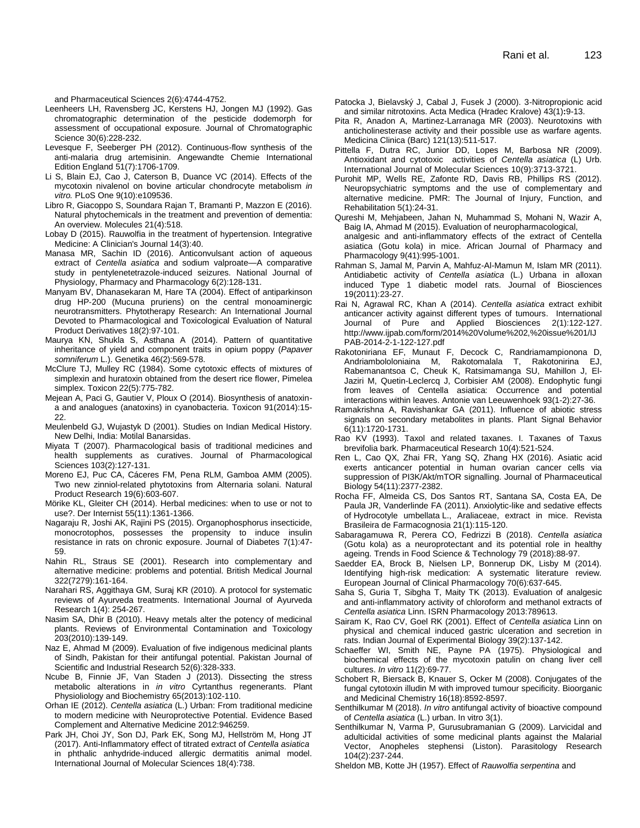and Pharmaceutical Sciences 2(6):4744-4752.

- Leenheers LH, Ravensberg JC, Kerstens HJ, Jongen MJ (1992). Gas chromatographic determination of the pesticide dodemorph for assessment of occupational exposure*.* Journal of Chromatographic Science 30(6):228-232.
- Levesque F, Seeberger PH (2012). Continuous-flow synthesis of the anti-malaria drug artemisinin. Angewandte Chemie International Edition England 51(7):1706-1709.
- Li S, Blain EJ, Cao J, Caterson B, Duance VC (2014). Effects of the mycotoxin nivalenol on bovine articular chondrocyte metabolism *in vitro.* PLoS One 9(10):e109536.
- Libro R, Giacoppo S, Soundara Rajan T, Bramanti P, Mazzon E (2016). Natural phytochemicals in the treatment and prevention of dementia: An overview. Molecules 21(4):518.
- Lobay D (2015). Rauwolfia in the treatment of hypertension. Integrative Medicine: A Clinician's Journal 14(3):40.
- Manasa MR, Sachin ID (2016). Anticonvulsant action of aqueous extract of *Centella asiatica* and sodium valproate—A comparative study in pentylenetetrazole-induced seizures. National Journal of Physiology, Pharmacy and Pharmacology 6(2):128-131.
- Manyam BV, Dhanasekaran M, Hare TA (2004). Effect of antiparkinson drug HP‐200 (Mucuna pruriens) on the central monoaminergic neurotransmitters. Phytotherapy Research: An International Journal Devoted to Pharmacological and Toxicological Evaluation of Natural Product Derivatives 18(2):97-101.
- Maurya KN, Shukla S, Asthana A (2014). Pattern of quantitative inheritance of yield and component traits in opium poppy (*Papaver somniferum* L.). Genetika 46(2):569-578.
- McClure TJ, Mulley RC (1984). Some cytotoxic effects of mixtures of simplexin and huratoxin obtained from the desert rice flower, Pimelea simplex. Toxicon 22(5):775-782.
- Mejean A, Paci G, Gautier V, Ploux O (2014). Biosynthesis of anatoxina and analogues (anatoxins) in cyanobacteria. Toxicon 91(2014):15- 22.
- Meulenbeld GJ, Wujastyk D (2001). Studies on Indian Medical History. New Delhi, India: Motilal Banarsidas.
- Miyata T (2007). Pharmacological basis of traditional medicines and health supplements as curatives. Journal of Pharmacological Sciences 103(2):127-131.
- Moreno EJ, Puc CA, Cáceres FM, Pena RLM, Gamboa AMM (2005). Two new zinniol-related phytotoxins from Alternaria solani. Natural Product Research 19(6):603-607.
- Mörike KL, Gleiter CH (2014). Herbal medicines: when to use or not to use?. Der Internist 55(11):1361-1366.
- Nagaraju R, Joshi AK, Rajini PS (2015). Organophosphorus insecticide, monocrotophos, possesses the propensity to induce insulin resistance in rats on chronic exposure. Journal of Diabetes 7(1):47- 59.
- Nahin RL, Straus SE (2001). Research into complementary and alternative medicine: problems and potential. British Medical Journal 322(7279):161-164.
- Narahari RS, Aggithaya GM, Suraj KR (2010). A protocol for systematic reviews of Ayurveda treatments. International Journal of Ayurveda Research 1(4): 254-267.
- Nasim SA, Dhir B (2010). Heavy metals alter the potency of medicinal plants. Reviews of Environmental Contamination and Toxicology 203(2010):139-149.
- Naz E, Ahmad M (2009). Evaluation of five indigenous medicinal plants of Sindh, Pakistan for their antifungal potential. Pakistan Journal of Scientific and Industrial Research 52(6):328-333.
- Ncube B, Finnie JF, Van Staden J (2013). Dissecting the stress metabolic alterations in *in vitro* Cyrtanthus regenerants. Plant Physioliology and Biochemistry 65(2013):102-110.
- Orhan IE (2012). *Centella asiatica* (L.) Urban: From traditional medicine to modern medicine with Neuroprotective Potential. Evidence Based Complement and Alternative Medicine 2012:946259.
- Park JH, Choi JY, Son DJ, Park EK, Song MJ, Hellström M, Hong JT (2017). Anti-Inflammatory effect of titrated extract of *Centella asiatica* in phthalic anhydride-induced allergic dermatitis animal model. International Journal of Molecular Sciences 18(4):738.
- Patocka J, Bielavský J, Cabal J, Fusek J (2000). 3-Nitropropionic acid and similar nitrotoxins. Acta Medica (Hradec Kralove) 43(1)**:**9-13.
- Pita R, Anadon A, Martinez-Larranaga MR (2003). Neurotoxins with anticholinesterase activity and their possible use as warfare agents. Medicina Clinica (Barc) 121(13):511-517.
- Pittella F, Dutra RC, Junior DD, Lopes M, Barbosa NR (2009). Antioxidant and cytotoxic activities of *Centella asiatica* (L) Urb. International Journal of Molecular Sciences 10(9):3713-3721.
- Purohit MP, Wells RE, Zafonte RD, Davis RB, Phillips RS (2012). Neuropsychiatric symptoms and the use of complementary and alternative medicine. PMR: The Journal of Injury, Function, and Rehabilitation 5(1):24-31.

Qureshi M, Mehjabeen, Jahan N, Muhammad S, Mohani N, Wazir A, Baig IA, Ahmad M (2015). Evaluation of neuropharmacological,

analgesic and anti-inflammatory effects of the extract of Centella asiatica (Gotu kola) in mice. African Journal of Pharmacy and Pharmacology 9(41):995-1001.

- Rahman S, Jamal M, Parvin A, Mahfuz-Al-Mamun M, Islam MR (2011). Antidiabetic activity of *Centella asiatica* (L.) Urbana in alloxan induced Type 1 diabetic model rats. Journal of Biosciences 19(2011):23-27.
- Rai N, Agrawal RC, Khan A (2014). *Centella asiatica* extract exhibit anticancer activity against different types of tumours. International Journal of Pure and Applied Biosciences 2(1):122-127. http://www.ijpab.com/form/2014%20Volume%202,%20issue%201/IJ PAB-2014-2-1-122-127.pdf
- Rakotoniriana EF, Munaut F, Decock C, Randriamampionona D, Andriambololoniaina M, Rakotomalala T, Rakotonirina EJ, Rabemanantsoa C, Cheuk K, Ratsimamanga SU, Mahillon J, El-Jaziri M, Quetin-Leclercq J, Corbisier AM (2008). Endophytic fungi from leaves of Centella asiatica: Occurrence and potential interactions within leaves. Antonie van Leeuwenhoek 93(1-2):27-36.
- Ramakrishna A, Ravishankar GA (2011). Influence of abiotic stress signals on secondary metabolites in plants. Plant Signal Behavior 6(11):1720-1731.
- Rao KV (1993). Taxol and related taxanes. I. Taxanes of Taxus brevifolia bark. Pharmaceutical Research 10(4):521-524.
- Ren L, Cao QX, Zhai FR, Yang SQ, Zhang HX (2016). Asiatic acid exerts anticancer potential in human ovarian cancer cells via suppression of PI3K/Akt/mTOR signalling. Journal of Pharmaceutical Biology 54(11):2377-2382.
- Rocha FF, Almeida CS, Dos Santos RT, Santana SA, Costa EA, De Paula JR, Vanderlinde FA (2011). Anxiolytic-like and sedative effects of Hydrocotyle umbellata L., Araliaceae, extract in mice. Revista Brasileira de Farmacognosia 21(1):115-120.
- Sabaragamuwa R, Perera CO, Fedrizzi B (2018). *Centella asiatica* (Gotu kola) as a neuroprotectant and its potential role in healthy ageing. Trends in Food Science & Technology 79 (2018):88-97.
- Saedder EA, Brock B, Nielsen LP, Bonnerup DK, Lisby M (2014). Identifying high-risk medication: A systematic literature review. European Journal of Clinical Pharmacology 70(6):637-645.
- Saha S, Guria T, Sibgha T, Maity TK (2013). Evaluation of analgesic and anti-inflammatory activity of chloroform and methanol extracts of *Centella asiatica* Linn. [ISRN Pharmacolo](https://www.ncbi.nlm.nih.gov/pmc/articles/PMC3858007/)gy 2013:789613.
- Sairam K, Rao CV, Goel RK (2001). Effect of *Centella asiatica* Linn on physical and chemical induced gastric ulceration and secretion in rats. Indian Journal of Experimental Biology 39(2):137-142.
- Schaeffer WI, Smith NE, Payne PA (1975). Physiological and biochemical effects of the mycotoxin patulin on chang liver cell cultures. *In vitro* 11(2):69-77.
- Schobert R, Biersack B, Knauer S, Ocker M (2008). Conjugates of the fungal cytotoxin illudin M with improved tumour specificity. Bioorganic and Medicinal Chemistry 16(18):8592-8597.
- Senthilkumar M (2018). *In vitro* antifungal activity of bioactive compound of *Centella asiatica* (L.) urban. In vitro 3(1).
- Senthilkumar N, Varma P, Gurusubramanian G (2009). Larvicidal and adulticidal activities of some medicinal plants against the Malarial Vector, Anopheles stephensi (Liston). Parasitology Research 104(2):237-244.
- Sheldon MB, Kotte JH (1957). Effect of *Rauwolfia serpentina* and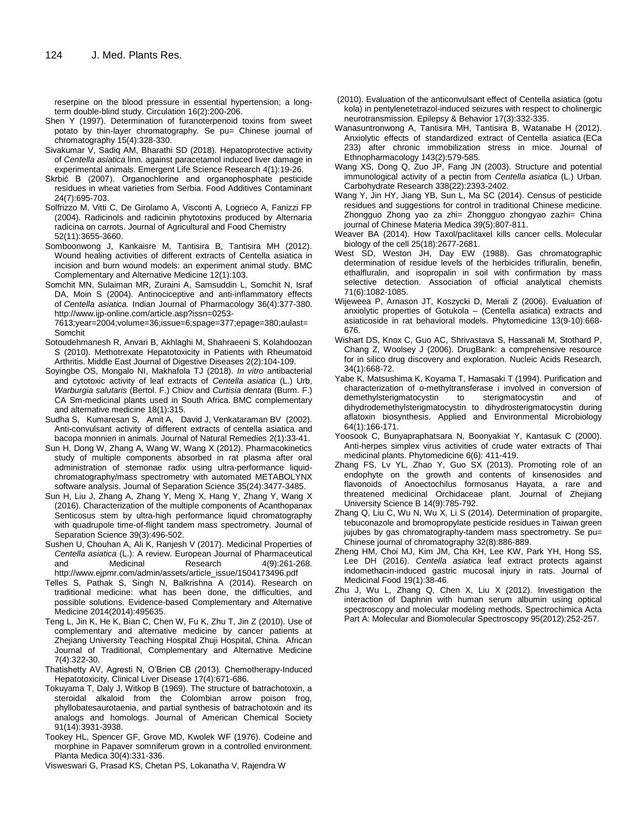reserpine on the blood pressure in essential hypertension; a longterm double-blind study. Circulation 16(2):200-206.

- Shen Y (1997). Determination of furanoterpenoid toxins from sweet potato by thin-layer chromatography*.* Se pu= Chinese journal of chromatography 15(4):328-330.
- Sivakumar V, Sadiq AM, Bharathi SD (2018). Hepatoprotective activity of *Centella asiatica* linn. against paracetamol induced liver damage in experimental animals. Emergent Life Science Research 4(1):19-26.
- Skrbić B (2007). Organochlorine and organophosphate pesticide residues in wheat varieties from Serbia. Food Additives Contaminant 24(7):695-703.
- Solfrizzo M, Vitti C, De Girolamo A, Visconti A, Logrieco A, Fanizzi FP (2004). Radicinols and radicinin phytotoxins produced by Alternaria radicina on carrots. Journal of Agricultural and Food Chemistry 52(11):3655-3660.
- Somboonwong J, Kankaisre M, Tantisira B, Tantisira MH (2012). Wound healing activities of different extracts of Centella asiatica in incision and burn wound models: an experiment animal study. BMC Complementary and Alternative Medicine 12(1):103.
- Somchit MN, Sulaiman MR, Zuraini A, Samsuddin L, Somchit N, Israf DA, Moin S (2004). Antinociceptive and anti-inflammatory effects of *Centella asiatica.* Indian Journal of Pharmacology 36(4):377-380. http://www.ijp-online.com/article.asp?issn=0253-

7613;year=2004;volume=36;issue=6;spage=377;epage=380;aulast= Somchit

- Sotoudehmanesh R, Anvari B, Akhlaghi M, Shahraeeni S, Kolahdoozan S (2010). Methotrexate Hepatotoxicity in Patients with Rheumatoid Arthritis. [Middle East Journal of Digestive Dise](https://www.ncbi.nlm.nih.gov/pmc/articles/PMC4154822/)ases 2(2):104-109.
- Soyingbe OS, Mongalo NI, Makhafola TJ (2018). *In vitro* antibacterial and cytotoxic activity of leaf extracts of *Centella asiatica* (L.) Urb, *Warburgia salutaris* (Bertol. F.) Chiov and *Curtisia dentata* (Burm. F.) CA Sm-medicinal plants used in South Africa. BMC complementary and alternative medicine 18(1):315.
- Sudha S, Kumaresan S, Amit A, David J, Venkataraman BV (2002). Anti-convulsant activity of different extracts of centella asiatica and bacopa monnieri in animals. Journal of Natural Remedies 2(1):33-41.
- Sun H, Dong W, Zhang A, Wang W, Wang X (2012). Pharmacokinetics study of multiple components absorbed in rat plasma after oral administration of stemonae radix using ultra-performance liquidchromatography/mass spectrometry with automated METABOLYNX software analysis. Journal of Separation Science 35(24):3477-3485.
- Sun H, Liu J, Zhang A, Zhang Y, Meng X, Hang Y, Zhang Y, Wang X (2016). Characterization of the multiple components of Acanthopanax Senticosus stem by ultra-high performance liquid chromatography with quadrupole time-of-flight tandem mass spectrometry. Journal of Separation Science 39(3):496-502.
- Sushen U, Chouhan A, Ali K, Ranjesh V (2017). Medicinal Properties of *Centella asiatica* (L.): A review. European Journal of Pharmaceutical and Medicinal Research 4(9):261-268. http://www.ejpmr.com/admin/assets/article\_issue/1504173496.pdf
- Telles S, Pathak S, Singh N, Balkrishna A (2014). Research on traditional medicine: what has been done, the difficulties, and possible solutions. Evidence-based Complementary and Alternative Medicine 2014(2014):495635.
- Teng L, Jin K, He K, Bian C, Chen W, Fu K, Zhu T, Jin Z (2010). Use of complementary and alternative medicine by cancer patients at Zheijang University Teaching Hospital Zhuij Hospital, China. African Journal of Traditional, Complementary and Alternative Medicine 7(4):322-30.
- Thatishetty AV, Agresti N, O'Brien CB (2013). Chemotherapy-Induced Hepatotoxicity. Clinical Liver Disease 17(4):671-686.
- Tokuyama T, Daly J, Witkop B (1969). The structure of batrachotoxin, a steroidal alkaloid from the Colombian arrow poison frog, phyllobatesaurotaenia, and partial synthesis of batrachotoxin and its analogs and homologs. Journal of American Chemical Society 91(14):3931-3938.
- Tookey HL, Spencer GF, Grove MD, Kwolek WF (1976). Codeine and morphine in Papaver somniferum grown in a controlled environment. Planta Medica 30(4):331-336.
- Visweswari G, Prasad KS, Chetan PS, Lokanatha V, Rajendra W
- (2010). Evaluation of the anticonvulsant effect of Centella asiatica (gotu kola) in pentylenetetrazol-induced seizures with respect to cholinergic neurotransmission. Epilepsy & Behavior 17(3):332-335.
- Wanasuntronwong A, Tantisira MH, Tantisira B, Watanabe H (2012). Anxiolytic effects of standardized extract of Centella asiatica (ECa 233) after chronic immobilization stress in mice. Journal of Ethnopharmacology 143(2):579-585.
- Wang XS, Dong Q, Zuo JP, Fang JN (2003). Structure and potential immunological activity of a pectin from *Centella asiatica* (L.) Urban. Carbohydrate Research 338(22):2393-2402.
- Wang Y, Jin HY, Jiang YB, Sun L, Ma SC (2014). Census of pesticide residues and suggestions for control in traditional Chinese medicine. Zhongguo Zhong yao za zhi= Zhongguo zhongyao zazhi= China journal of Chinese Materia Medica 39(5):807-811.
- Weaver BA (2014). How Taxol/paclitaxel kills cancer cells. Molecular biology of the cell 25(18):2677-2681.
- West SD, Weston JH, Day EW (1988). Gas chromatographic determination of residue levels of the herbicides trifluralin, benefin, ethalfluralin, and isopropalin in soil with confirmation by mass selective detection. Association of official analytical chemists 71(6):1082-1085.
- Wijeweea P, Arnason JT, Koszycki D, Merali Z (2006). Evaluation of anxiolytic properties of Gotukola – (Centella asiatica) extracts and asiaticoside in rat behavioral models. Phytomedicine 13(9-10):668- 676.
- Wishart DS, Knox C, Guo AC, Shrivastava S, Hassanali M, Stothard P, Chang Z, Woolsey J (2006). DrugBank: a comprehensive resource for in silico drug discovery and exploration. Nucleic Acids Research, 34(1):668-72.
- Yabe K, Matsushima K, Koyama T, Hamasaki T (1994). Purification and characterization of o-methyltransferase i involved in conversion of demethylsterigmatocystin to sterigmatocystin and of dihydrodemethylsterigmatocystin to dihydrosterigmatocystin during aflatoxin biosynthesis. Applied and Environmental Microbiology 64(1):166-171.
- Yoosook C, Bunyapraphatsara N, Boonyakiat Y, Kantasuk C (2000). Anti-herpes simplex virus activities of crude water extracts of Thai medicinal plants. Phytomedicine 6(6): 411-419.
- Zhang FS, Lv YL, Zhao Y, Guo SX (2013). Promoting role of an endophyte on the growth and contents of kinsenosides and flavonoids of Anoectochilus formosanus Hayata, a rare and threatened medicinal Orchidaceae plant. Journal of Zhejiang University Science B 14(9):785-792.
- Zhang Q, Liu C, Wu N, Wu X, Li S (2014). Determination of propargite, tebuconazole and bromopropylate pesticide residues in Taiwan green jujubes by gas chromatography-tandem mass spectrometry. Se pu= Chinese journal of chromatography 32(8):886-889.
- Zheng HM, Choi MJ, Kim JM, Cha KH, Lee KW, Park YH, Hong SS, Lee DH (2016). *Centella asiatica* leaf extract protects against indomethacin-induced gastric mucosal injury in rats. Journal of Medicinal Food 19(1):38-46.
- Zhu J, Wu L, Zhang Q, Chen X, Liu X (2012). Investigation the interaction of Daphnin with human serum albumin using optical spectroscopy and molecular modeling methods. Spectrochimica Acta Part A: Molecular and Biomolecular Spectroscopy 95(2012):252-257.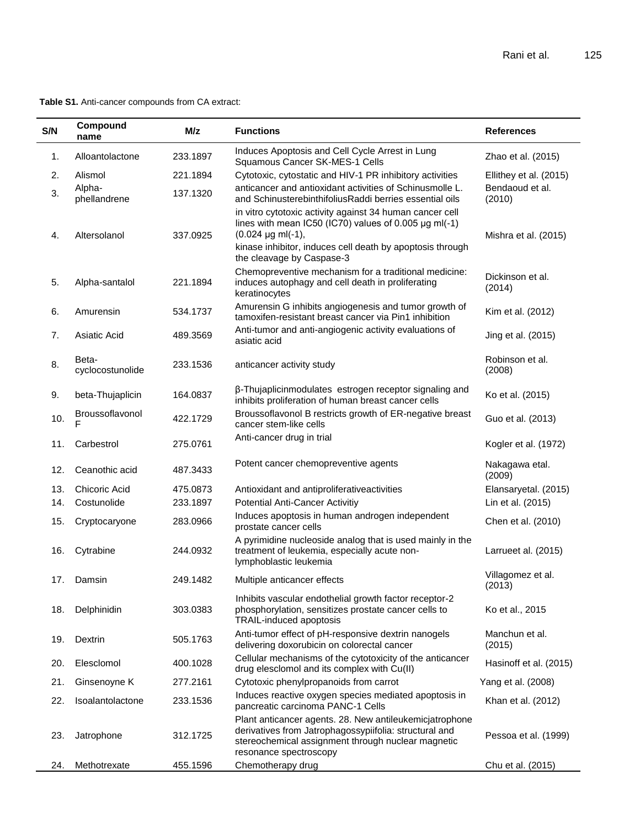**Table S1.** Anti-cancer compounds from CA extract:

| S/N | Compound<br>name          | M/z      | <b>Functions</b>                                                                                                                                                                                                                                   | <b>References</b>           |
|-----|---------------------------|----------|----------------------------------------------------------------------------------------------------------------------------------------------------------------------------------------------------------------------------------------------------|-----------------------------|
| 1.  | Alloantolactone           | 233.1897 | Induces Apoptosis and Cell Cycle Arrest in Lung<br>Squamous Cancer SK-MES-1 Cells                                                                                                                                                                  | Zhao et al. (2015)          |
| 2.  | Alismol                   | 221.1894 | Cytotoxic, cytostatic and HIV-1 PR inhibitory activities                                                                                                                                                                                           | Ellithey et al. (2015)      |
| 3.  | Alpha-<br>phellandrene    | 137.1320 | anticancer and antioxidant activities of Schinusmolle L.<br>and SchinusterebinthifoliusRaddi berries essential oils                                                                                                                                | Bendaoud et al.<br>(2010)   |
| 4.  | Altersolanol              | 337.0925 | in vitro cytotoxic activity against 34 human cancer cell<br>lines with mean IC50 (IC70) values of 0.005 $\mu$ g ml(-1)<br>$(0.024 \mu g \text{ ml}(-1),$<br>kinase inhibitor, induces cell death by apoptosis through<br>the cleavage by Caspase-3 | Mishra et al. (2015)        |
| 5.  | Alpha-santalol            | 221.1894 | Chemopreventive mechanism for a traditional medicine:<br>induces autophagy and cell death in proliferating<br>keratinocytes                                                                                                                        | Dickinson et al.<br>(2014)  |
| 6.  | Amurensin                 | 534.1737 | Amurensin G inhibits angiogenesis and tumor growth of<br>tamoxifen-resistant breast cancer via Pin1 inhibition                                                                                                                                     | Kim et al. (2012)           |
| 7.  | Asiatic Acid              | 489.3569 | Anti-tumor and anti-angiogenic activity evaluations of<br>asiatic acid                                                                                                                                                                             | Jing et al. (2015)          |
| 8.  | Beta-<br>cyclocostunolide | 233.1536 | anticancer activity study                                                                                                                                                                                                                          | Robinson et al.<br>(2008)   |
| 9.  | beta-Thujaplicin          | 164.0837 | β-Thujaplicinmodulates estrogen receptor signaling and<br>inhibits proliferation of human breast cancer cells                                                                                                                                      | Ko et al. (2015)            |
| 10. | Broussoflavonol           | 422.1729 | Broussoflavonol B restricts growth of ER-negative breast<br>cancer stem-like cells                                                                                                                                                                 | Guo et al. (2013)           |
| 11. | Carbestrol                | 275.0761 | Anti-cancer drug in trial                                                                                                                                                                                                                          | Kogler et al. (1972)        |
| 12. | Ceanothic acid            | 487.3433 | Potent cancer chemopreventive agents                                                                                                                                                                                                               | Nakagawa etal.<br>(2009)    |
| 13. | Chicoric Acid             | 475.0873 | Antioxidant and antiproliferativeactivities                                                                                                                                                                                                        | Elansaryetal. (2015)        |
| 14. | Costunolide               | 233.1897 | <b>Potential Anti-Cancer Activitiy</b>                                                                                                                                                                                                             | Lin et al. (2015)           |
| 15. | Cryptocaryone             | 283.0966 | Induces apoptosis in human androgen independent<br>prostate cancer cells                                                                                                                                                                           | Chen et al. (2010)          |
| 16. | Cytrabine                 | 244.0932 | A pyrimidine nucleoside analog that is used mainly in the<br>treatment of leukemia, especially acute non-<br>lymphoblastic leukemia                                                                                                                | Larrueet al. (2015)         |
| 17. | Damsin                    | 249.1482 | Multiple anticancer effects                                                                                                                                                                                                                        | Villagomez et al.<br>(2013) |
| 18. | Delphinidin               | 303.0383 | Inhibits vascular endothelial growth factor receptor-2<br>phosphorylation, sensitizes prostate cancer cells to<br>TRAIL-induced apoptosis                                                                                                          | Ko et al., 2015             |
| 19. | Dextrin                   | 505.1763 | Anti-tumor effect of pH-responsive dextrin nanogels<br>delivering doxorubicin on colorectal cancer                                                                                                                                                 | Manchun et al.<br>(2015)    |
| 20. | Elesclomol                | 400.1028 | Cellular mechanisms of the cytotoxicity of the anticancer<br>drug elesclomol and its complex with Cu(II)                                                                                                                                           | Hasinoff et al. (2015)      |
| 21. | Ginsenoyne K              | 277.2161 | Cytotoxic phenylpropanoids from carrot                                                                                                                                                                                                             | Yang et al. (2008)          |
| 22. | Isoalantolactone          | 233.1536 | Induces reactive oxygen species mediated apoptosis in<br>pancreatic carcinoma PANC-1 Cells                                                                                                                                                         | Khan et al. (2012)          |
| 23. | Jatrophone                | 312.1725 | Plant anticancer agents. 28. New antileukemicjatrophone<br>derivatives from Jatrophagossypiifolia: structural and<br>stereochemical assignment through nuclear magnetic<br>resonance spectroscopy                                                  | Pessoa et al. (1999)        |
| 24. | Methotrexate              | 455.1596 | Chemotherapy drug                                                                                                                                                                                                                                  | Chu et al. (2015)           |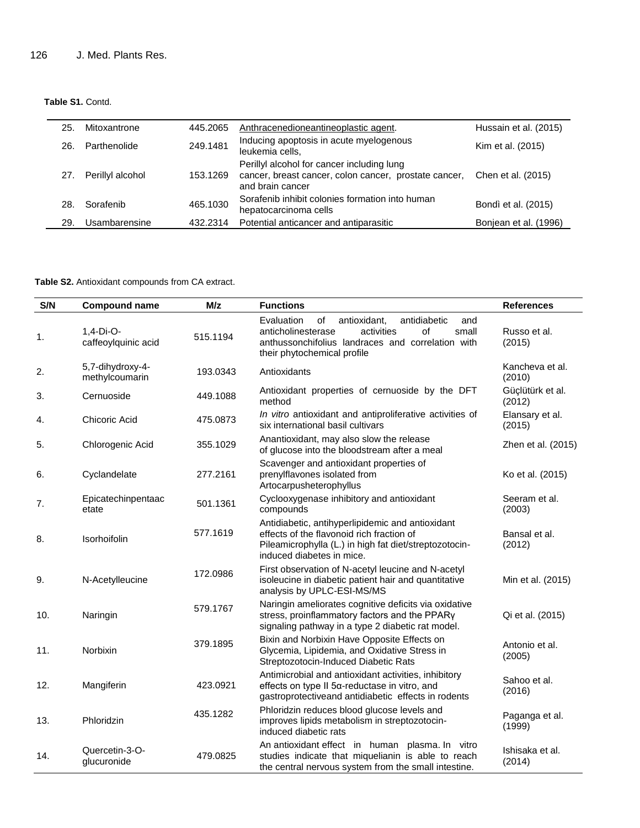**Table S1.** Contd.

| 25. | Mitoxantrone     | 445.2065 | Anthracenedioneantineoplastic agent.                                                                                    | Hussain et al. (2015) |
|-----|------------------|----------|-------------------------------------------------------------------------------------------------------------------------|-----------------------|
| 26. | Parthenolide     | 249.1481 | Inducing apoptosis in acute myelogenous<br>leukemia cells,                                                              | Kim et al. (2015)     |
| 27. | Perillyl alcohol | 153.1269 | Perillyl alcohol for cancer including lung<br>cancer, breast cancer, colon cancer, prostate cancer,<br>and brain cancer | Chen et al. (2015)    |
| 28  | Sorafenib        | 465.1030 | Sorafenib inhibit colonies formation into human<br>hepatocarcinoma cells                                                | Bondì et al. (2015)   |
| 29  | Usambarensine    | 432.2314 | Potential anticancer and antiparasitic                                                                                  | Bonjean et al. (1996) |

**Table S2.** Antioxidant compounds from CA extract.

| S/N | <b>Compound name</b>               | M/z      | <b>Functions</b>                                                                                                                                                                               | <b>References</b>          |
|-----|------------------------------------|----------|------------------------------------------------------------------------------------------------------------------------------------------------------------------------------------------------|----------------------------|
| 1.  | $1,4-Di-O-$<br>caffeoylquinic acid | 515.1194 | of<br>antidiabetic<br>Evaluation<br>antioxidant,<br>and<br>of<br>anticholinesterase<br>activities<br>small<br>anthussonchifolius landraces and correlation with<br>their phytochemical profile | Russo et al.<br>(2015)     |
| 2.  | 5,7-dihydroxy-4-<br>methylcoumarin | 193.0343 | Antioxidants                                                                                                                                                                                   | Kancheva et al.<br>(2010)  |
| 3.  | Cernuoside                         | 449.1088 | Antioxidant properties of cernuoside by the DFT<br>method                                                                                                                                      | Güçlütürk et al.<br>(2012) |
| 4.  | Chicoric Acid                      | 475.0873 | In vitro antioxidant and antiproliferative activities of<br>six international basil cultivars                                                                                                  | Elansary et al.<br>(2015)  |
| 5.  | Chlorogenic Acid                   | 355.1029 | Anantioxidant, may also slow the release<br>of glucose into the bloodstream after a meal                                                                                                       | Zhen et al. (2015)         |
| 6.  | Cyclandelate                       | 277.2161 | Scavenger and antioxidant properties of<br>prenylflavones isolated from<br>Artocarpusheterophyllus                                                                                             | Ko et al. (2015)           |
| 7.  | Epicatechinpentaac<br>etate        | 501.1361 | Cyclooxygenase inhibitory and antioxidant<br>compounds                                                                                                                                         | Seeram et al.<br>(2003)    |
| 8.  | Isorhoifolin                       | 577.1619 | Antidiabetic, antihyperlipidemic and antioxidant<br>effects of the flavonoid rich fraction of<br>Pileamicrophylla (L.) in high fat diet/streptozotocin-<br>induced diabetes in mice.           | Bansal et al.<br>(2012)    |
| 9.  | N-Acetylleucine                    | 172.0986 | First observation of N-acetyl leucine and N-acetyl<br>isoleucine in diabetic patient hair and quantitative<br>analysis by UPLC-ESI-MS/MS                                                       | Min et al. (2015)          |
| 10. | Naringin                           | 579.1767 | Naringin ameliorates cognitive deficits via oxidative<br>stress, proinflammatory factors and the PPARy<br>signaling pathway in a type 2 diabetic rat model.                                    | Qi et al. (2015)           |
| 11. | Norbixin                           | 379.1895 | Bixin and Norbixin Have Opposite Effects on<br>Glycemia, Lipidemia, and Oxidative Stress in<br>Streptozotocin-Induced Diabetic Rats                                                            | Antonio et al.<br>(2005)   |
| 12. | Mangiferin                         | 423.0921 | Antimicrobial and antioxidant activities, inhibitory<br>effects on type II 5a-reductase in vitro, and<br>gastroprotectiveand antidiabetic effects in rodents                                   | Sahoo et al.<br>(2016)     |
| 13. | Phloridzin                         | 435.1282 | Phloridzin reduces blood glucose levels and<br>improves lipids metabolism in streptozotocin-<br>induced diabetic rats                                                                          | Paganga et al.<br>(1999)   |
| 14. | Quercetin-3-O-<br>glucuronide      | 479.0825 | An antioxidant effect in human plasma. In vitro<br>studies indicate that miquelianin is able to reach<br>the central nervous system from the small intestine.                                  | Ishisaka et al.<br>(2014)  |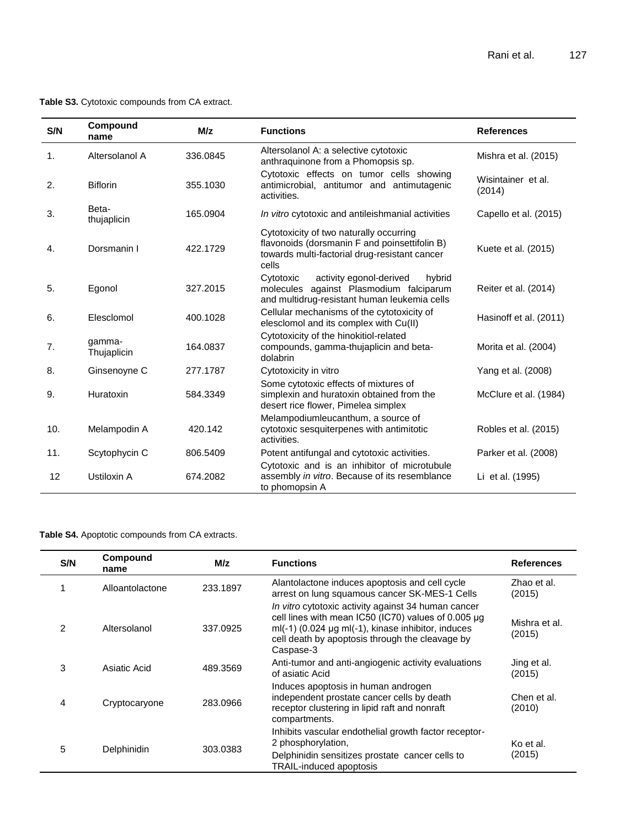**Table S3.** Cytotoxic compounds from CA extract.

| S/N | Compound<br>name      | M/z      | <b>Functions</b>                                                                                                                                   | <b>References</b>            |
|-----|-----------------------|----------|----------------------------------------------------------------------------------------------------------------------------------------------------|------------------------------|
| 1.  | Altersolanol A        | 336.0845 | Altersolanol A: a selective cytotoxic<br>anthraquinone from a Phomopsis sp.                                                                        | Mishra et al. (2015)         |
| 2.  | <b>Biflorin</b>       | 355.1030 | Cytotoxic effects on tumor cells showing<br>antimicrobial, antitumor and antimutagenic<br>activities.                                              | Wisintainer et al.<br>(2014) |
| 3.  | Beta-<br>thujaplicin  | 165.0904 | In vitro cytotoxic and antileishmanial activities                                                                                                  | Capello et al. (2015)        |
| 4.  | Dorsmanin I           | 422.1729 | Cytotoxicity of two naturally occurring<br>flavonoids (dorsmanin F and poinsettifolin B)<br>towards multi-factorial drug-resistant cancer<br>cells | Kuete et al. (2015)          |
| 5.  | Egonol                | 327.2015 | activity egonol-derived<br>Cytotoxic<br>hybrid<br>molecules against Plasmodium falciparum<br>and multidrug-resistant human leukemia cells          | Reiter et al. (2014)         |
| 6.  | Elesclomol            | 400.1028 | Cellular mechanisms of the cytotoxicity of<br>elesclomol and its complex with Cu(II)                                                               | Hasinoff et al. (2011)       |
| 7.  | gamma-<br>Thujaplicin | 164.0837 | Cytotoxicity of the hinokitiol-related<br>compounds, gamma-thujaplicin and beta-<br>dolabrin                                                       | Morita et al. (2004)         |
| 8.  | Ginsenoyne C          | 277.1787 | Cytotoxicity in vitro                                                                                                                              | Yang et al. (2008)           |
| 9.  | Huratoxin             | 584.3349 | Some cytotoxic effects of mixtures of<br>simplexin and huratoxin obtained from the<br>desert rice flower, Pimelea simplex                          | McClure et al. (1984)        |
| 10. | Melampodin A          | 420.142  | Melampodiumleucanthum, a source of<br>cytotoxic sesquiterpenes with antimitotic<br>activities.                                                     | Robles et al. (2015)         |
| 11. | Scytophycin C         | 806.5409 | Potent antifungal and cytotoxic activities.                                                                                                        | Parker et al. (2008)         |
| 12  | Ustiloxin A           | 674.2082 | Cytotoxic and is an inhibitor of microtubule<br>assembly in vitro. Because of its resemblance<br>to phomopsin A                                    | Li et al. (1995)             |

**Table S4.** Apoptotic compounds from CA extracts.

| S/N           | Compound<br>name | M/z      | <b>Functions</b>                                                                                                                                                                                                                   | <b>References</b>       |
|---------------|------------------|----------|------------------------------------------------------------------------------------------------------------------------------------------------------------------------------------------------------------------------------------|-------------------------|
| 4             | Alloantolactone  | 233.1897 | Alantolactone induces apoptosis and cell cycle<br>arrest on lung squamous cancer SK-MES-1 Cells                                                                                                                                    | Zhao et al.<br>(2015)   |
| $\mathcal{P}$ | Altersolanol     | 337.0925 | In vitro cytotoxic activity against 34 human cancer<br>cell lines with mean IC50 (IC70) values of 0.005 µg<br>$ml(-1)$ (0.024 µg ml(-1), kinase inhibitor, induces<br>cell death by apoptosis through the cleavage by<br>Caspase-3 | Mishra et al.<br>(2015) |
| 3             | Asiatic Acid     | 489.3569 | Anti-tumor and anti-angiogenic activity evaluations<br>of asiatic Acid                                                                                                                                                             | Jing et al.<br>(2015)   |
| 4             | Cryptocaryone    | 283.0966 | Induces apoptosis in human androgen<br>independent prostate cancer cells by death<br>receptor clustering in lipid raft and nonraft<br>compartments.                                                                                | Chen et al.<br>(2010)   |
| 5             | Delphinidin      | 303.0383 | Inhibits vascular endothelial growth factor receptor-<br>2 phosphorylation,<br>Delphinidin sensitizes prostate cancer cells to<br><b>TRAIL-induced apoptosis</b>                                                                   | Ko et al.<br>(2015)     |